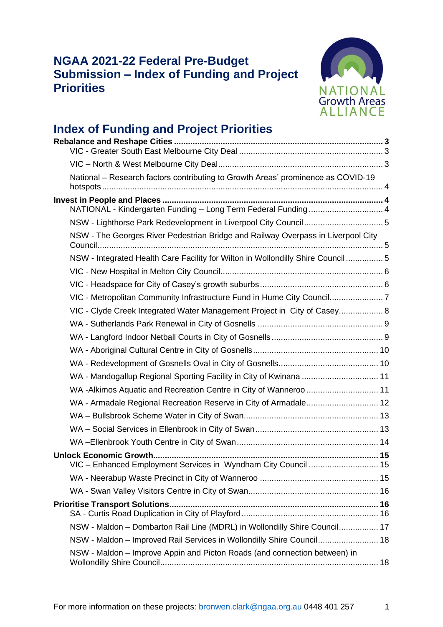# **NGAA 2021-22 Federal Pre-Budget Submission – Index of Funding and Project Priorities**



# **Index of Funding and Project Priorities**

| National – Research factors contributing to Growth Areas' prominence as COVID-19 |  |
|----------------------------------------------------------------------------------|--|
|                                                                                  |  |
| NATIONAL - Kindergarten Funding - Long Term Federal Funding  4                   |  |
| NSW - Lighthorse Park Redevelopment in Liverpool City Council5                   |  |
| NSW - The Georges River Pedestrian Bridge and Railway Overpass in Liverpool City |  |
| NSW - Integrated Health Care Facility for Wilton in Wollondilly Shire Council  5 |  |
|                                                                                  |  |
|                                                                                  |  |
|                                                                                  |  |
| VIC - Clyde Creek Integrated Water Management Project in City of Casey 8         |  |
|                                                                                  |  |
|                                                                                  |  |
|                                                                                  |  |
|                                                                                  |  |
| WA - Mandogallup Regional Sporting Facility in City of Kwinana  11               |  |
|                                                                                  |  |
| WA - Armadale Regional Recreation Reserve in City of Armadale 12                 |  |
|                                                                                  |  |
|                                                                                  |  |
|                                                                                  |  |
|                                                                                  |  |
| VIC - Enhanced Employment Services in Wyndham City Council  15                   |  |
|                                                                                  |  |
|                                                                                  |  |
|                                                                                  |  |
| NSW - Maldon - Dombarton Rail Line (MDRL) in Wollondilly Shire Council 17        |  |
| NSW - Maldon - Improved Rail Services in Wollondilly Shire Council 18            |  |
| NSW - Maldon – Improve Appin and Picton Roads (and connection between) in        |  |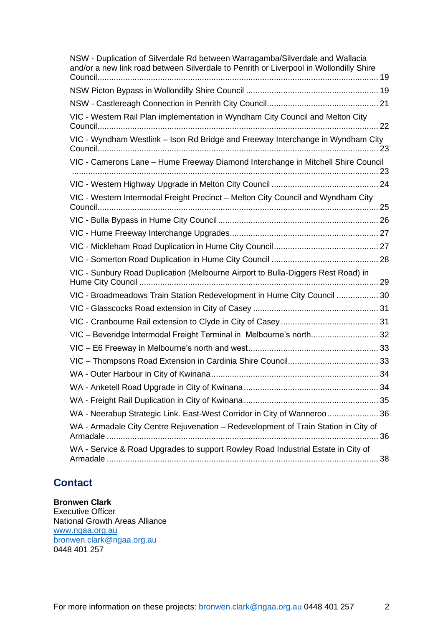| NSW - Duplication of Silverdale Rd between Warragamba/Silverdale and Wallacia<br>and/or a new link road between Silverdale to Penrith or Liverpool in Wollondilly Shire |  |
|-------------------------------------------------------------------------------------------------------------------------------------------------------------------------|--|
|                                                                                                                                                                         |  |
|                                                                                                                                                                         |  |
| VIC - Western Rail Plan implementation in Wyndham City Council and Melton City                                                                                          |  |
| VIC - Wyndham Westlink - Ison Rd Bridge and Freeway Interchange in Wyndham City                                                                                         |  |
| VIC - Camerons Lane - Hume Freeway Diamond Interchange in Mitchell Shire Council                                                                                        |  |
|                                                                                                                                                                         |  |
| VIC - Western Intermodal Freight Precinct - Melton City Council and Wyndham City                                                                                        |  |
|                                                                                                                                                                         |  |
|                                                                                                                                                                         |  |
|                                                                                                                                                                         |  |
|                                                                                                                                                                         |  |
| VIC - Sunbury Road Duplication (Melbourne Airport to Bulla-Diggers Rest Road) in                                                                                        |  |
| VIC - Broadmeadows Train Station Redevelopment in Hume City Council  30                                                                                                 |  |
|                                                                                                                                                                         |  |
|                                                                                                                                                                         |  |
| VIC - Beveridge Intermodal Freight Terminal in Melbourne's north 32                                                                                                     |  |
|                                                                                                                                                                         |  |
|                                                                                                                                                                         |  |
|                                                                                                                                                                         |  |
|                                                                                                                                                                         |  |
|                                                                                                                                                                         |  |
| WA - Neerabup Strategic Link. East-West Corridor in City of Wanneroo 36                                                                                                 |  |
| WA - Armadale City Centre Rejuvenation - Redevelopment of Train Station in City of                                                                                      |  |
| WA - Service & Road Upgrades to support Rowley Road Industrial Estate in City of                                                                                        |  |

# **Contact**

**Bronwen Clark** Executive Officer National Growth Areas Alliance

[www.ngaa.org.au](http://www.ngaa.org.au/) [bronwen.clark@ngaa.org.au](mailto:bronwen.clark@ngaa.org.au) 0448 401 257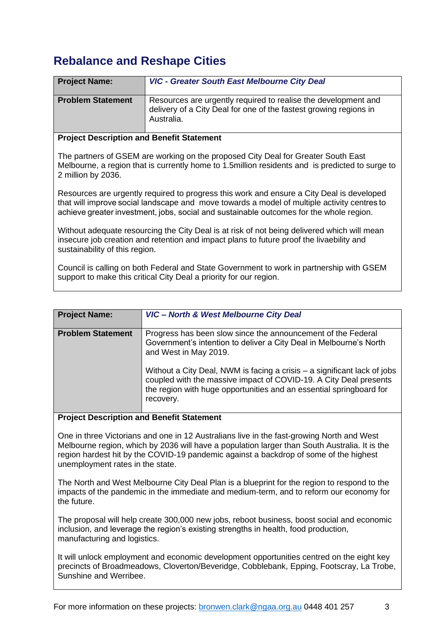# <span id="page-2-0"></span>**Rebalance and Reshape Cities**

<span id="page-2-1"></span>

| <b>Project Name:</b>                             | <b>VIC - Greater South East Melbourne City Deal</b>                                                                                               |
|--------------------------------------------------|---------------------------------------------------------------------------------------------------------------------------------------------------|
| <b>Problem Statement</b>                         | Resources are urgently required to realise the development and<br>delivery of a City Deal for one of the fastest growing regions in<br>Australia. |
| <b>Project Description and Benefit Statement</b> |                                                                                                                                                   |

The partners of GSEM are working on the proposed City Deal for Greater South East Melbourne, a region that is currently home to 1.5million residents and is predicted to surge to 2 million by 2036.

Resources are urgently required to progress this work and ensure a City Deal is developed that will improve social landscape and move towards a model of multiple activity centres to achieve greater investment, jobs, social and sustainable outcomes for the whole region.

Without adequate resourcing the City Deal is at risk of not being delivered which will mean insecure job creation and retention and impact plans to future proof the livaebility and sustainability of this region.

Council is calling on both Federal and State Government to work in partnership with GSEM support to make this critical City Deal a priority for our region. 

<span id="page-2-2"></span>

| <b>Problem Statement</b><br>Progress has been slow since the announcement of the Federal<br>Government's intention to deliver a City Deal in Melbourne's North<br>and West in May 2019.<br>Without a City Deal, NWM is facing a crisis - a significant lack of jobs<br>coupled with the massive impact of COVID-19. A City Deal presents<br>the region with huge opportunities and an essential springboard for<br>recovery. | <b>Project Name:</b> | <b>VIC- North &amp; West Melbourne City Deal</b> |
|------------------------------------------------------------------------------------------------------------------------------------------------------------------------------------------------------------------------------------------------------------------------------------------------------------------------------------------------------------------------------------------------------------------------------|----------------------|--------------------------------------------------|
|                                                                                                                                                                                                                                                                                                                                                                                                                              |                      |                                                  |

**Project Description and Benefit Statement**

One in three Victorians and one in 12 Australians live in the fast-growing North and West Melbourne region, which by 2036 will have a population larger than South Australia. It is the region hardest hit by the COVID-19 pandemic against a backdrop of some of the highest unemployment rates in the state.

The North and West Melbourne City Deal Plan is a blueprint for the region to respond to the impacts of the pandemic in the immediate and medium-term, and to reform our economy for the future.

The proposal will help create 300,000 new jobs, reboot business, boost social and economic inclusion, and leverage the region's existing strengths in health, food production, manufacturing and logistics.

It will unlock employment and economic development opportunities centred on the eight key precincts of Broadmeadows, Cloverton/Beveridge, Cobblebank, Epping, Footscray, La Trobe, Sunshine and Werribee.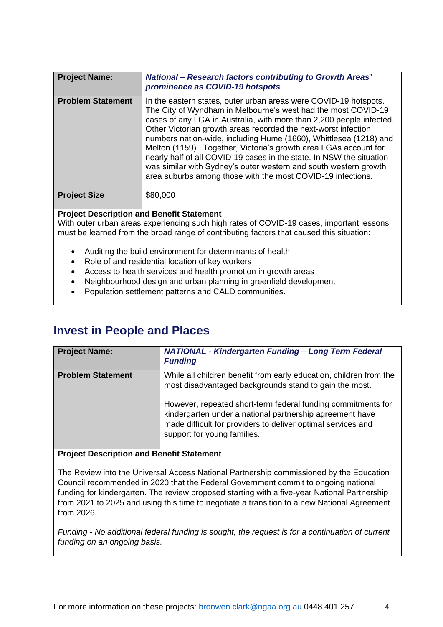<span id="page-3-0"></span>

| <b>Project Name:</b>                                                                                                                                                                                                                     | <b>National – Research factors contributing to Growth Areas'</b><br>prominence as COVID-19 hotspots                                                                                                                                                                                                                                                                                                                                                                                                                                                                                                                             |
|------------------------------------------------------------------------------------------------------------------------------------------------------------------------------------------------------------------------------------------|---------------------------------------------------------------------------------------------------------------------------------------------------------------------------------------------------------------------------------------------------------------------------------------------------------------------------------------------------------------------------------------------------------------------------------------------------------------------------------------------------------------------------------------------------------------------------------------------------------------------------------|
| <b>Problem Statement</b>                                                                                                                                                                                                                 | In the eastern states, outer urban areas were COVID-19 hotspots.<br>The City of Wyndham in Melbourne's west had the most COVID-19<br>cases of any LGA in Australia, with more than 2,200 people infected.<br>Other Victorian growth areas recorded the next-worst infection<br>numbers nation-wide, including Hume (1660), Whittlesea (1218) and<br>Melton (1159). Together, Victoria's growth area LGAs account for<br>nearly half of all COVID-19 cases in the state. In NSW the situation<br>was similar with Sydney's outer western and south western growth<br>area suburbs among those with the most COVID-19 infections. |
| <b>Project Size</b>                                                                                                                                                                                                                      | \$80,000                                                                                                                                                                                                                                                                                                                                                                                                                                                                                                                                                                                                                        |
| <b>Project Description and Benefit Statement</b><br>With outer urban areas experiencing such high rates of COVID-19 cases, important lessons<br>must be learned from the broad range of contributing factors that caused this situation: |                                                                                                                                                                                                                                                                                                                                                                                                                                                                                                                                                                                                                                 |

- Auditing the build environment for determinants of health
- Role of and residential location of key workers
- Access to health services and health promotion in growth areas
- Neighbourhood design and urban planning in greenfield development
- Population settlement patterns and CALD communities.

# <span id="page-3-1"></span>**Invest in People and Places**

<span id="page-3-2"></span>

| <b>Project Name:</b>     | <b>NATIONAL - Kindergarten Funding - Long Term Federal</b><br><b>Funding</b>                                                                                                                                                                                                                                                                            |
|--------------------------|---------------------------------------------------------------------------------------------------------------------------------------------------------------------------------------------------------------------------------------------------------------------------------------------------------------------------------------------------------|
| <b>Problem Statement</b> | While all children benefit from early education, children from the<br>most disadvantaged backgrounds stand to gain the most.<br>However, repeated short-term federal funding commitments for<br>kindergarten under a national partnership agreement have<br>made difficult for providers to deliver optimal services and<br>support for young families. |

### **Project Description and Benefit Statement**

The Review into the Universal Access National Partnership commissioned by the Education Council recommended in 2020 that the Federal Government commit to ongoing national funding for kindergarten. The review proposed starting with a five-year National Partnership from 2021 to 2025 and using this time to negotiate a transition to a new National Agreement from 2026.

*Funding - No additional federal funding is sought, the request is for a continuation of current funding on an ongoing basis.*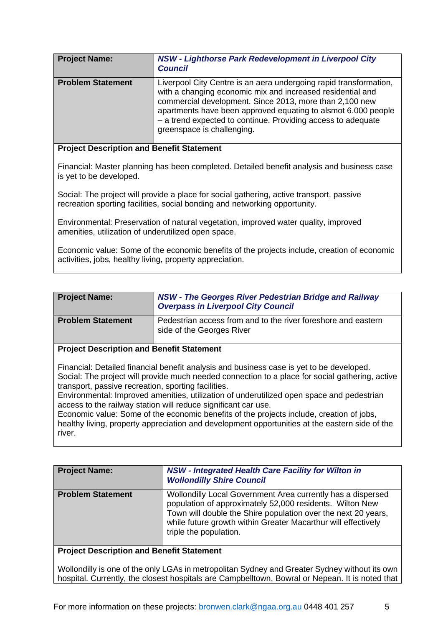<span id="page-4-0"></span>

| <b>Project Name:</b>     | NSW - Lighthorse Park Redevelopment in Liverpool City<br><b>Council</b>                                                                                                                                                                                                                                                                                   |
|--------------------------|-----------------------------------------------------------------------------------------------------------------------------------------------------------------------------------------------------------------------------------------------------------------------------------------------------------------------------------------------------------|
| <b>Problem Statement</b> | Liverpool City Centre is an aera undergoing rapid transformation,<br>with a changing economic mix and increased residential and<br>commercial development. Since 2013, more than 2,100 new<br>apartments have been approved equating to alsmot 6.000 people<br>- a trend expected to continue. Providing access to adequate<br>greenspace is challenging. |

Financial: Master planning has been completed. Detailed benefit analysis and business case is yet to be developed.

Social: The project will provide a place for social gathering, active transport, passive recreation sporting facilities, social bonding and networking opportunity.

Environmental: Preservation of natural vegetation, improved water quality, improved amenities, utilization of underutilized open space.

Economic value: Some of the economic benefits of the projects include, creation of economic activities, jobs, healthy living, property appreciation.

<span id="page-4-1"></span>

| <b>Project Name:</b>     | <b>NSW - The Georges River Pedestrian Bridge and Railway</b><br><b>Overpass in Liverpool City Council</b> |
|--------------------------|-----------------------------------------------------------------------------------------------------------|
| <b>Problem Statement</b> | Pedestrian access from and to the river foreshore and eastern<br>side of the Georges River                |

### **Project Description and Benefit Statement**

Financial: Detailed financial benefit analysis and business case is yet to be developed. Social: The project will provide much needed connection to a place for social gathering, active transport, passive recreation, sporting facilities.

Environmental: Improved amenities, utilization of underutilized open space and pedestrian access to the railway station will reduce significant car use.

Economic value: Some of the economic benefits of the projects include, creation of jobs, healthy living, property appreciation and development opportunities at the eastern side of the river.

<span id="page-4-2"></span>

| <b>Project Name:</b>     | <b>NSW - Integrated Health Care Facility for Wilton in</b><br><b>Wollondilly Shire Council</b>                                                                                                                                                                                      |
|--------------------------|-------------------------------------------------------------------------------------------------------------------------------------------------------------------------------------------------------------------------------------------------------------------------------------|
| <b>Problem Statement</b> | Wollondilly Local Government Area currently has a dispersed<br>population of approximately 52,000 residents. Wilton New<br>Town will double the Shire population over the next 20 years,<br>while future growth within Greater Macarthur will effectively<br>triple the population. |

# **Project Description and Benefit Statement**

Wollondilly is one of the only LGAs in metropolitan Sydney and Greater Sydney without its own hospital. Currently, the closest hospitals are Campbelltown, Bowral or Nepean. It is noted that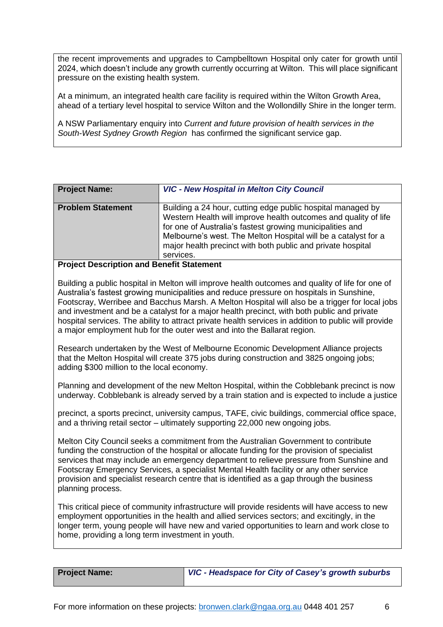the recent improvements and upgrades to Campbelltown Hospital only cater for growth until 2024, which doesn't include any growth currently occurring at Wilton. This will place significant pressure on the existing health system.

At a minimum, an integrated health care facility is required within the Wilton Growth Area, ahead of a tertiary level hospital to service Wilton and the Wollondilly Shire in the longer term.

A NSW Parliamentary enquiry into *Current and future provision of health services in the South-West Sydney Growth Region* has confirmed the significant service gap.

<span id="page-5-0"></span>

| <b>Project Name:</b>     | <b>VIC - New Hospital in Melton City Council</b>                                                                                                                                                                                                                                                                                          |
|--------------------------|-------------------------------------------------------------------------------------------------------------------------------------------------------------------------------------------------------------------------------------------------------------------------------------------------------------------------------------------|
| <b>Problem Statement</b> | Building a 24 hour, cutting edge public hospital managed by<br>Western Health will improve health outcomes and quality of life<br>for one of Australia's fastest growing municipalities and<br>Melbourne's west. The Melton Hospital will be a catalyst for a<br>major health precinct with both public and private hospital<br>services. |
| $\cdots$                 |                                                                                                                                                                                                                                                                                                                                           |

### **Project Description and Benefit Statement**

Building a public hospital in Melton will improve health outcomes and quality of life for one of Australia's fastest growing municipalities and reduce pressure on hospitals in Sunshine, Footscray, Werribee and Bacchus Marsh. A Melton Hospital will also be a trigger for local jobs and investment and be a catalyst for a major health precinct, with both public and private hospital services. The ability to attract private health services in addition to public will provide a major employment hub for the outer west and into the Ballarat region.

Research undertaken by the West of Melbourne Economic Development Alliance projects that the Melton Hospital will create 375 jobs during construction and 3825 ongoing jobs; adding \$300 million to the local economy.

Planning and development of the new Melton Hospital, within the Cobblebank precinct is now underway. Cobblebank is already served by a train station and is expected to include a justice

precinct, a sports precinct, university campus, TAFE, civic buildings, commercial office space, and a thriving retail sector – ultimately supporting 22,000 new ongoing jobs.

Melton City Council seeks a commitment from the Australian Government to contribute funding the construction of the hospital or allocate funding for the provision of specialist services that may include an emergency department to relieve pressure from Sunshine and Footscray Emergency Services, a specialist Mental Health facility or any other service provision and specialist research centre that is identified as a gap through the business planning process.

This critical piece of community infrastructure will provide residents will have access to new employment opportunities in the health and allied services sectors; and excitingly, in the longer term, young people will have new and varied opportunities to learn and work close to home, providing a long term investment in youth.

<span id="page-5-1"></span>**Project Name:** *VIC - Headspace for City of Casey's growth suburbs*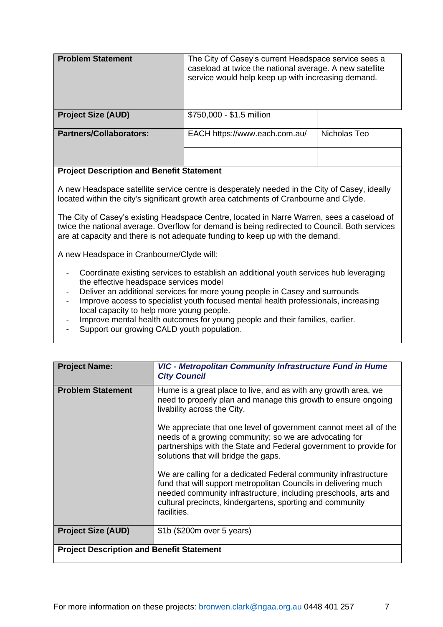| <b>Problem Statement</b>       | The City of Casey's current Headspace service sees a<br>caseload at twice the national average. A new satellite<br>service would help keep up with increasing demand. |              |
|--------------------------------|-----------------------------------------------------------------------------------------------------------------------------------------------------------------------|--------------|
| <b>Project Size (AUD)</b>      | \$750,000 - \$1.5 million                                                                                                                                             |              |
| <b>Partners/Collaborators:</b> | EACH https://www.each.com.au/                                                                                                                                         | Nicholas Teo |

A new Headspace satellite service centre is desperately needed in the City of Casey, ideally located within the city's significant growth area catchments of Cranbourne and Clyde.

The City of Casey's existing Headspace Centre, located in Narre Warren, sees a caseload of twice the national average. Overflow for demand is being redirected to Council. Both services are at capacity and there is not adequate funding to keep up with the demand.

A new Headspace in Cranbourne/Clyde will:

- Coordinate existing services to establish an additional youth services hub leveraging the effective headspace services model
- Deliver an additional services for more young people in Casey and surrounds
- Improve access to specialist youth focused mental health professionals, increasing local capacity to help more young people.
- Improve mental health outcomes for young people and their families, earlier.
- <span id="page-6-0"></span>- Support our growing CALD youth population.

| <b>Project Name:</b>                             | VIC - Metropolitan Community Infrastructure Fund in Hume<br><b>City Council</b>                                                                                                                                                                                                   |
|--------------------------------------------------|-----------------------------------------------------------------------------------------------------------------------------------------------------------------------------------------------------------------------------------------------------------------------------------|
| <b>Problem Statement</b>                         | Hume is a great place to live, and as with any growth area, we<br>need to properly plan and manage this growth to ensure ongoing<br>livability across the City.                                                                                                                   |
|                                                  | We appreciate that one level of government cannot meet all of the<br>needs of a growing community; so we are advocating for<br>partnerships with the State and Federal government to provide for<br>solutions that will bridge the gaps.                                          |
|                                                  | We are calling for a dedicated Federal community infrastructure<br>fund that will support metropolitan Councils in delivering much<br>needed community infrastructure, including preschools, arts and<br>cultural precincts, kindergartens, sporting and community<br>facilities. |
| <b>Project Size (AUD)</b>                        | \$1b (\$200m over 5 years)                                                                                                                                                                                                                                                        |
| <b>Project Description and Benefit Statement</b> |                                                                                                                                                                                                                                                                                   |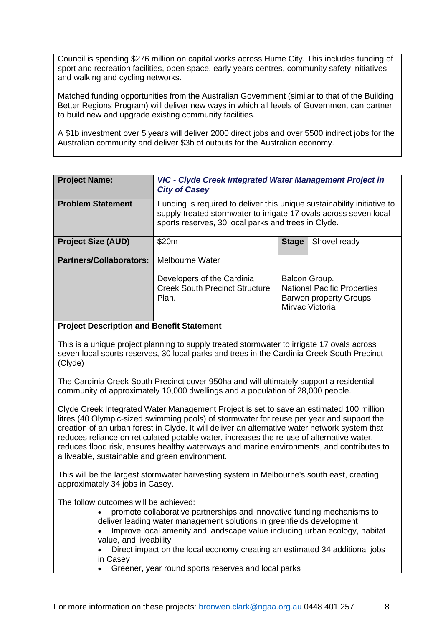Council is spending \$276 million on capital works across Hume City. This includes funding of sport and recreation facilities, open space, early years centres, community safety initiatives and walking and cycling networks.

Matched funding opportunities from the Australian Government (similar to that of the Building Better Regions Program) will deliver new ways in which all levels of Government can partner to build new and upgrade existing community facilities.

A \$1b investment over 5 years will deliver 2000 direct jobs and over 5500 indirect jobs for the Australian community and deliver \$3b of outputs for the Australian economy.

<span id="page-7-0"></span>

| <b>Project Name:</b>           | VIC - Clyde Creek Integrated Water Management Project in<br><b>City of Casey</b>                                                                                                                    |                                                                                                         |  |  |
|--------------------------------|-----------------------------------------------------------------------------------------------------------------------------------------------------------------------------------------------------|---------------------------------------------------------------------------------------------------------|--|--|
| <b>Problem Statement</b>       | Funding is required to deliver this unique sustainability initiative to<br>supply treated stormwater to irrigate 17 ovals across seven local<br>sports reserves, 30 local parks and trees in Clyde. |                                                                                                         |  |  |
| <b>Project Size (AUD)</b>      | \$20m                                                                                                                                                                                               | <b>Stage</b><br>Shovel ready                                                                            |  |  |
| <b>Partners/Collaborators:</b> | Melbourne Water                                                                                                                                                                                     |                                                                                                         |  |  |
|                                | Developers of the Cardinia<br><b>Creek South Precinct Structure</b><br>Plan.                                                                                                                        | Balcon Group.<br><b>National Pacific Properties</b><br><b>Barwon property Groups</b><br>Mirvac Victoria |  |  |

### **Project Description and Benefit Statement**

This is a unique project planning to supply treated stormwater to irrigate 17 ovals across seven local sports reserves, 30 local parks and trees in the Cardinia Creek South Precinct (Clyde)

The Cardinia Creek South Precinct cover 950ha and will ultimately support a residential community of approximately 10,000 dwellings and a population of 28,000 people.

Clyde Creek Integrated Water Management Project is set to save an estimated 100 million litres (40 Olympic-sized swimming pools) of stormwater for reuse per year and support the creation of an urban forest in Clyde. It will deliver an alternative water network system that reduces reliance on reticulated potable water, increases the re-use of alternative water, reduces flood risk, ensures healthy waterways and marine environments, and contributes to a liveable, sustainable and green environment.

This will be the largest stormwater harvesting system in Melbourne's south east, creating approximately 34 jobs in Casey.

The follow outcomes will be achieved:

- promote collaborative partnerships and innovative funding mechanisms to deliver leading water management solutions in greenfields development
- Improve local amenity and landscape value including urban ecology, habitat value, and liveability
- Direct impact on the local economy creating an estimated 34 additional jobs in Casey
- Greener, year round sports reserves and local parks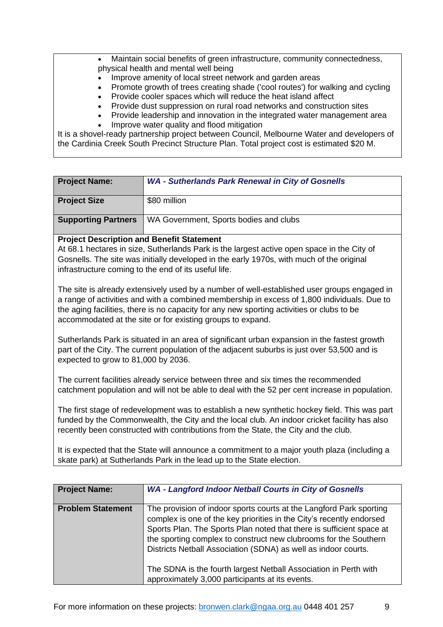• Maintain social benefits of green infrastructure, community connectedness, physical health and mental well being

- Improve amenity of local street network and garden areas
- Promote growth of trees creating shade ('cool routes') for walking and cycling
	- Provide cooler spaces which will reduce the heat island affect
- Provide dust suppression on rural road networks and construction sites
- Provide leadership and innovation in the integrated water management area
- <span id="page-8-0"></span>Improve water quality and flood mitigation

It is a shovel-ready partnership project between Council, Melbourne Water and developers of the Cardinia Creek South Precinct Structure Plan. Total project cost is estimated \$20 M.

| <b>Project Name:</b>                                                                                                                                                                                                                                                                                                                                  | <b>WA - Sutherlands Park Renewal in City of Gosnells</b>                                                                                                                                      |  |
|-------------------------------------------------------------------------------------------------------------------------------------------------------------------------------------------------------------------------------------------------------------------------------------------------------------------------------------------------------|-----------------------------------------------------------------------------------------------------------------------------------------------------------------------------------------------|--|
| <b>Project Size</b>                                                                                                                                                                                                                                                                                                                                   | \$80 million                                                                                                                                                                                  |  |
| <b>Supporting Partners</b>                                                                                                                                                                                                                                                                                                                            | WA Government, Sports bodies and clubs                                                                                                                                                        |  |
| <b>Project Description and Benefit Statement</b>                                                                                                                                                                                                                                                                                                      |                                                                                                                                                                                               |  |
| At 68.1 hectares in size, Sutherlands Park is the largest active open space in the City of<br>Gosnells. The site was initially developed in the early 1970s, with much of the original<br>infrastructure coming to the end of its useful life.                                                                                                        |                                                                                                                                                                                               |  |
| The site is already extensively used by a number of well-established user groups engaged in<br>a range of activities and with a combined membership in excess of 1,800 individuals. Due to<br>the aging facilities, there is no capacity for any new sporting activities or clubs to be<br>accommodated at the site or for existing groups to expand. |                                                                                                                                                                                               |  |
| Sutherlands Park is situated in an area of significant urban expansion in the fastest growth<br>part of the City. The current population of the adjacent suburbs is just over 53,500 and is<br>expected to grow to 81,000 by 2036.                                                                                                                    |                                                                                                                                                                                               |  |
|                                                                                                                                                                                                                                                                                                                                                       | The current facilities already service between three and six times the recommended<br>catchment population and will not be able to deal with the 52 per cent increase in population.          |  |
|                                                                                                                                                                                                                                                                                                                                                       | The first stage of redevelopment was to establish a new synthetic hockey field. This was part<br>funded by the Commonwealth, the City and the local club. An indoor cricket facility has also |  |

unded by the Commonwealth, the City and the local club. An indoor cricket facility has also recently been constructed with contributions from the State, the City and the club.

It is expected that the State will announce a commitment to a major youth plaza (including a skate park) at Sutherlands Park in the lead up to the State election.

<span id="page-8-1"></span>

| The provision of indoor sports courts at the Langford Park sporting<br>complex is one of the key priorities in the City's recently endorsed<br>Sports Plan. The Sports Plan noted that there is sufficient space at<br>the sporting complex to construct new clubrooms for the Southern<br>Districts Netball Association (SDNA) as well as indoor courts.<br>The SDNA is the fourth largest Netball Association in Perth with<br>approximately 3,000 participants at its events. |
|----------------------------------------------------------------------------------------------------------------------------------------------------------------------------------------------------------------------------------------------------------------------------------------------------------------------------------------------------------------------------------------------------------------------------------------------------------------------------------|
|                                                                                                                                                                                                                                                                                                                                                                                                                                                                                  |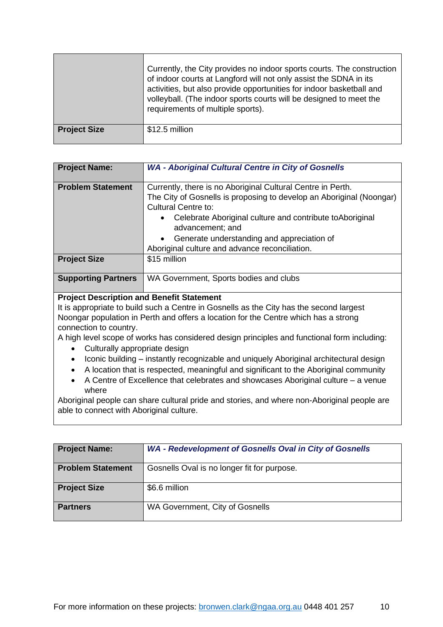|                     | Currently, the City provides no indoor sports courts. The construction<br>of indoor courts at Langford will not only assist the SDNA in its<br>activities, but also provide opportunities for indoor basketball and<br>volleyball. (The indoor sports courts will be designed to meet the<br>requirements of multiple sports). |
|---------------------|--------------------------------------------------------------------------------------------------------------------------------------------------------------------------------------------------------------------------------------------------------------------------------------------------------------------------------|
| <b>Project Size</b> | \$12.5 million                                                                                                                                                                                                                                                                                                                 |

<span id="page-9-0"></span>

| <b>Project Name:</b>       | <b>WA - Aboriginal Cultural Centre in City of Gosnells</b>                                                                                                                                                                                                                                                                                                      |
|----------------------------|-----------------------------------------------------------------------------------------------------------------------------------------------------------------------------------------------------------------------------------------------------------------------------------------------------------------------------------------------------------------|
| <b>Problem Statement</b>   | Currently, there is no Aboriginal Cultural Centre in Perth.<br>The City of Gosnells is proposing to develop an Aboriginal (Noongar)<br><b>Cultural Centre to:</b><br>Celebrate Aboriginal culture and contribute to Aboriginal<br>$\bullet$<br>advancement; and<br>Generate understanding and appreciation of<br>Aboriginal culture and advance reconciliation. |
| <b>Project Size</b>        | \$15 million                                                                                                                                                                                                                                                                                                                                                    |
| <b>Supporting Partners</b> | WA Government, Sports bodies and clubs                                                                                                                                                                                                                                                                                                                          |

It is appropriate to build such a Centre in Gosnells as the City has the second largest Noongar population in Perth and offers a location for the Centre which has a strong connection to country.

A high level scope of works has considered design principles and functional form including:

- Culturally appropriate design
- Iconic building instantly recognizable and uniquely Aboriginal architectural design
- A location that is respected, meaningful and significant to the Aboriginal community
- A Centre of Excellence that celebrates and showcases Aboriginal culture a venue where

Aboriginal people can share cultural pride and stories, and where non-Aboriginal people are able to connect with Aboriginal culture.

<span id="page-9-1"></span>

| <b>Project Name:</b>     | <b>WA - Redevelopment of Gosnells Oval in City of Gosnells</b> |
|--------------------------|----------------------------------------------------------------|
| <b>Problem Statement</b> | Gosnells Oval is no longer fit for purpose.                    |
| <b>Project Size</b>      | \$6.6 million                                                  |
| <b>Partners</b>          | WA Government, City of Gosnells                                |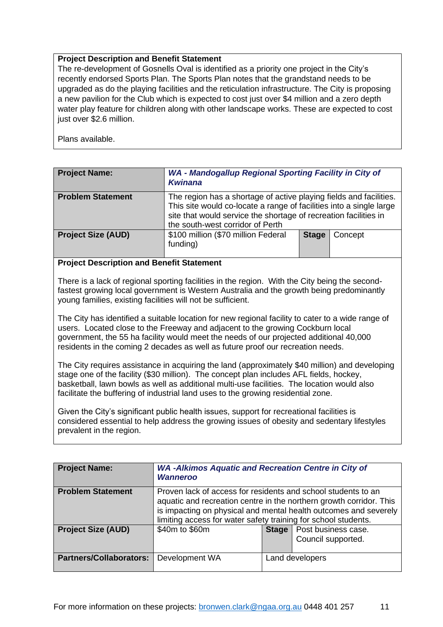The re-development of Gosnells Oval is identified as a priority one project in the City's recently endorsed Sports Plan. The Sports Plan notes that the grandstand needs to be upgraded as do the playing facilities and the reticulation infrastructure. The City is proposing a new pavilion for the Club which is expected to cost just over \$4 million and a zero depth water play feature for children along with other landscape works. These are expected to cost just over \$2.6 million.

Plans available.

<span id="page-10-0"></span>

| <b>Project Name:</b>      | WA - Mandogallup Regional Sporting Facility in City of<br><b>Kwinana</b>                                                                                                                                                                          |              |         |
|---------------------------|---------------------------------------------------------------------------------------------------------------------------------------------------------------------------------------------------------------------------------------------------|--------------|---------|
| <b>Problem Statement</b>  | The region has a shortage of active playing fields and facilities.<br>This site would co-locate a range of facilities into a single large<br>site that would service the shortage of recreation facilities in<br>the south-west corridor of Perth |              |         |
| <b>Project Size (AUD)</b> | \$100 million (\$70 million Federal<br>funding)                                                                                                                                                                                                   | <b>Stage</b> | Concept |

# **Project Description and Benefit Statement**

There is a lack of regional sporting facilities in the region. With the City being the secondfastest growing local government is Western Australia and the growth being predominantly young families, existing facilities will not be sufficient.

The City has identified a suitable location for new regional facility to cater to a wide range of users. Located close to the Freeway and adjacent to the growing Cockburn local government, the 55 ha facility would meet the needs of our projected additional 40,000 residents in the coming 2 decades as well as future proof our recreation needs.

The City requires assistance in acquiring the land (approximately \$40 million) and developing stage one of the facility (\$30 million). The concept plan includes AFL fields, hockey, basketball, lawn bowls as well as additional multi-use facilities. The location would also facilitate the buffering of industrial land uses to the growing residential zone.

Given the City's significant public health issues, support for recreational facilities is considered essential to help address the growing issues of obesity and sedentary lifestyles prevalent in the region.

<span id="page-10-1"></span>

| <b>Project Name:</b>           | <b>WA-Alkimos Aquatic and Recreation Centre in City of</b><br><b>Wanneroo</b>                                                                                                                                                                                              |                                                          |  |
|--------------------------------|----------------------------------------------------------------------------------------------------------------------------------------------------------------------------------------------------------------------------------------------------------------------------|----------------------------------------------------------|--|
| <b>Problem Statement</b>       | Proven lack of access for residents and school students to an<br>aquatic and recreation centre in the northern growth corridor. This<br>is impacting on physical and mental health outcomes and severely<br>limiting access for water safety training for school students. |                                                          |  |
| <b>Project Size (AUD)</b>      | \$40m to \$60m                                                                                                                                                                                                                                                             | <b>Stage</b>   Post business case.<br>Council supported. |  |
| <b>Partners/Collaborators:</b> | Development WA                                                                                                                                                                                                                                                             | Land developers                                          |  |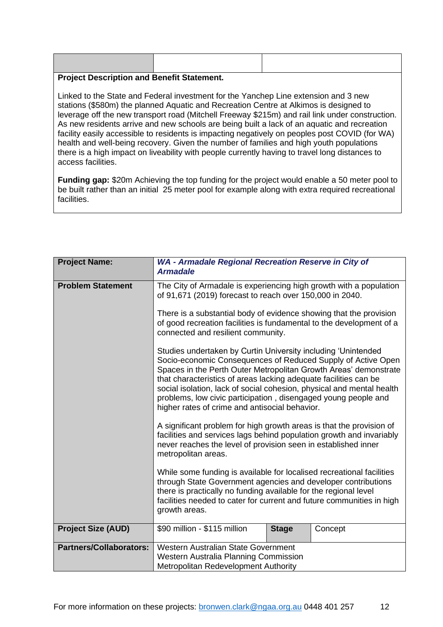| $\blacksquare$ |  |  |
|----------------|--|--|
|                |  |  |
|                |  |  |
|                |  |  |
|                |  |  |
|                |  |  |

Linked to the State and Federal investment for the Yanchep Line extension and 3 new stations (\$580m) the planned Aquatic and Recreation Centre at Alkimos is designed to leverage off the new transport road (Mitchell Freeway \$215m) and rail link under construction. As new residents arrive and new schools are being built a lack of an aquatic and recreation facility easily accessible to residents is impacting negatively on peoples post COVID (for WA) health and well-being recovery. Given the number of families and high youth populations there is a high impact on liveability with people currently having to travel long distances to access facilities.

**Funding gap:** \$20m Achieving the top funding for the project would enable a 50 meter pool to be built rather than an initial 25 meter pool for example along with extra required recreational facilities.

<span id="page-11-0"></span>

| <b>Project Name:</b>           | WA - Armadale Regional Recreation Reserve in City of<br><b>Armadale</b>                                                                                                                                                                                                                                                                                                                                                                                            |              |         |
|--------------------------------|--------------------------------------------------------------------------------------------------------------------------------------------------------------------------------------------------------------------------------------------------------------------------------------------------------------------------------------------------------------------------------------------------------------------------------------------------------------------|--------------|---------|
| <b>Problem Statement</b>       | The City of Armadale is experiencing high growth with a population<br>of 91,671 (2019) forecast to reach over 150,000 in 2040.<br>There is a substantial body of evidence showing that the provision<br>of good recreation facilities is fundamental to the development of a<br>connected and resilient community.                                                                                                                                                 |              |         |
|                                |                                                                                                                                                                                                                                                                                                                                                                                                                                                                    |              |         |
|                                | Studies undertaken by Curtin University including 'Unintended<br>Socio-economic Consequences of Reduced Supply of Active Open<br>Spaces in the Perth Outer Metropolitan Growth Areas' demonstrate<br>that characteristics of areas lacking adequate facilities can be<br>social isolation, lack of social cohesion, physical and mental health<br>problems, low civic participation, disengaged young people and<br>higher rates of crime and antisocial behavior. |              |         |
|                                | A significant problem for high growth areas is that the provision of<br>facilities and services lags behind population growth and invariably<br>never reaches the level of provision seen in established inner<br>metropolitan areas.                                                                                                                                                                                                                              |              |         |
|                                | While some funding is available for localised recreational facilities<br>through State Government agencies and developer contributions<br>there is practically no funding available for the regional level<br>facilities needed to cater for current and future communities in high<br>growth areas.                                                                                                                                                               |              |         |
| <b>Project Size (AUD)</b>      | \$90 million - \$115 million                                                                                                                                                                                                                                                                                                                                                                                                                                       | <b>Stage</b> | Concept |
| <b>Partners/Collaborators:</b> | Western Australian State Government<br>Western Australia Planning Commission<br>Metropolitan Redevelopment Authority                                                                                                                                                                                                                                                                                                                                               |              |         |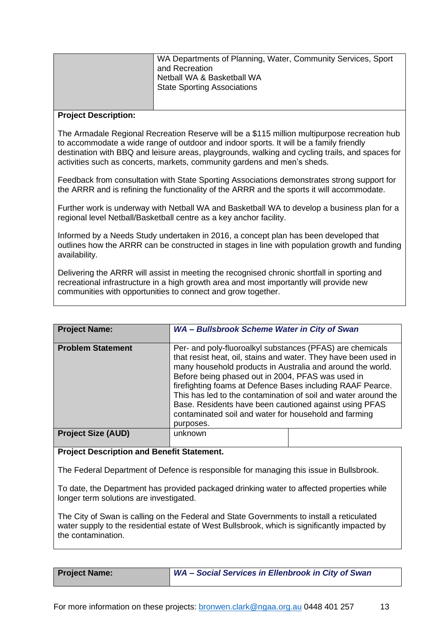| WA Departments of Planning, Water, Community Services, Sport<br>and Recreation<br>Netball WA & Basketball WA<br><b>State Sporting Associations</b> |
|----------------------------------------------------------------------------------------------------------------------------------------------------|
|                                                                                                                                                    |

#### **Project Description:**

The Armadale Regional Recreation Reserve will be a \$115 million multipurpose recreation hub to accommodate a wide range of outdoor and indoor sports. It will be a family friendly destination with BBQ and leisure areas, playgrounds, walking and cycling trails, and spaces for activities such as concerts, markets, community gardens and men's sheds.

Feedback from consultation with State Sporting Associations demonstrates strong support for the ARRR and is refining the functionality of the ARRR and the sports it will accommodate.

Further work is underway with Netball WA and Basketball WA to develop a business plan for a regional level Netball/Basketball centre as a key anchor facility.

Informed by a Needs Study undertaken in 2016, a concept plan has been developed that outlines how the ARRR can be constructed in stages in line with population growth and funding availability.

Delivering the ARRR will assist in meeting the recognised chronic shortfall in sporting and recreational infrastructure in a high growth area and most importantly will provide new communities with opportunities to connect and grow together.

<span id="page-12-0"></span>

| <b>Project Name:</b>      | WA - Bullsbrook Scheme Water in City of Swan                                                                                                                                                                                                                                                                                                                                                                                                                                                                    |  |  |
|---------------------------|-----------------------------------------------------------------------------------------------------------------------------------------------------------------------------------------------------------------------------------------------------------------------------------------------------------------------------------------------------------------------------------------------------------------------------------------------------------------------------------------------------------------|--|--|
| <b>Problem Statement</b>  | Per- and poly-fluoroalkyl substances (PFAS) are chemicals<br>that resist heat, oil, stains and water. They have been used in<br>many household products in Australia and around the world.<br>Before being phased out in 2004, PFAS was used in<br>firefighting foams at Defence Bases including RAAF Pearce.<br>This has led to the contamination of soil and water around the<br>Base. Residents have been cautioned against using PFAS<br>contaminated soil and water for household and farming<br>purposes. |  |  |
| <b>Project Size (AUD)</b> | unknown                                                                                                                                                                                                                                                                                                                                                                                                                                                                                                         |  |  |

#### **Project Description and Benefit Statement.**

The Federal Department of Defence is responsible for managing this issue in Bullsbrook.

To date, the Department has provided packaged drinking water to affected properties while longer term solutions are investigated.

The City of Swan is calling on the Federal and State Governments to install a reticulated water supply to the residential estate of West Bullsbrook, which is significantly impacted by the contamination.

| <b>Project Name:</b> |
|----------------------|
|----------------------|

<span id="page-12-1"></span>**Project Name:** *WA – Social Services in Ellenbrook in City of Swan*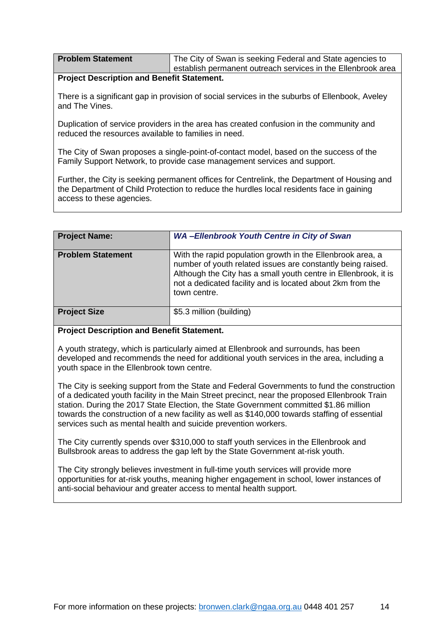| <b>Problem Statement</b> | The City of Swan is seeking Federal and State agencies to    |
|--------------------------|--------------------------------------------------------------|
|                          | establish permanent outreach services in the Ellenbrook area |

There is a significant gap in provision of social services in the suburbs of Ellenbook, Aveley and The Vines.

Duplication of service providers in the area has created confusion in the community and reduced the resources available to families in need.

The City of Swan proposes a single-point-of-contact model, based on the success of the Family Support Network, to provide case management services and support.

Further, the City is seeking permanent offices for Centrelink, the Department of Housing and the Department of Child Protection to reduce the hurdles local residents face in gaining access to these agencies.

<span id="page-13-0"></span>

| <b>Project Name:</b>     | <b>WA-Ellenbrook Youth Centre in City of Swan</b>                                                                                                                                                                                                                          |
|--------------------------|----------------------------------------------------------------------------------------------------------------------------------------------------------------------------------------------------------------------------------------------------------------------------|
| <b>Problem Statement</b> | With the rapid population growth in the Ellenbrook area, a<br>number of youth related issues are constantly being raised.<br>Although the City has a small youth centre in Ellenbrook, it is<br>not a dedicated facility and is located about 2km from the<br>town centre. |
| <b>Project Size</b>      | \$5.3 million (building)                                                                                                                                                                                                                                                   |

# **Project Description and Benefit Statement.**

A youth strategy, which is particularly aimed at Ellenbrook and surrounds, has been developed and recommends the need for additional youth services in the area, including a youth space in the Ellenbrook town centre.

The City is seeking support from the State and Federal Governments to fund the construction of a dedicated youth facility in the Main Street precinct, near the proposed Ellenbrook Train station. During the 2017 State Election, the State Government committed \$1.86 million towards the construction of a new facility as well as \$140,000 towards staffing of essential services such as mental health and suicide prevention workers.

The City currently spends over \$310,000 to staff youth services in the Ellenbrook and Bullsbrook areas to address the gap left by the State Government at-risk youth.

The City strongly believes investment in full-time youth services will provide more opportunities for at-risk youths, meaning higher engagement in school, lower instances of anti-social behaviour and greater access to mental health support.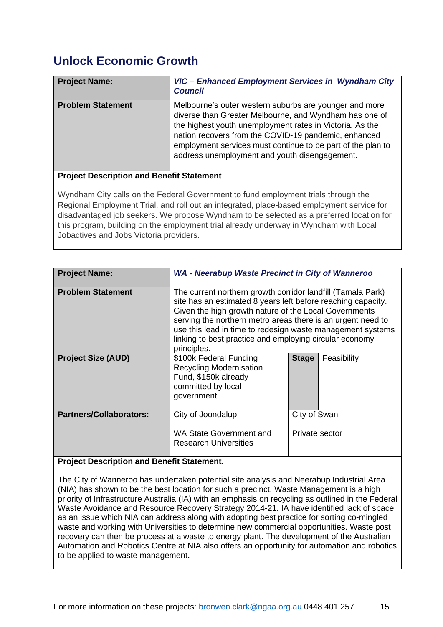# <span id="page-14-0"></span>**Unlock Economic Growth**

<span id="page-14-1"></span>

| <b>Project Name:</b>     | VIC - Enhanced Employment Services in Wyndham City<br><b>Council</b>                                                                                                                                                                                                                                                                                 |
|--------------------------|------------------------------------------------------------------------------------------------------------------------------------------------------------------------------------------------------------------------------------------------------------------------------------------------------------------------------------------------------|
| <b>Problem Statement</b> | Melbourne's outer western suburbs are younger and more<br>diverse than Greater Melbourne, and Wyndham has one of<br>the highest youth unemployment rates in Victoria. As the<br>nation recovers from the COVID-19 pandemic, enhanced<br>employment services must continue to be part of the plan to<br>address unemployment and youth disengagement. |

# **Project Description and Benefit Statement**

Wyndham City calls on the Federal Government to fund employment trials through the Regional Employment Trial, and roll out an integrated, place-based employment service for disadvantaged job seekers. We propose Wyndham to be selected as a preferred location for this program, building on the employment trial already underway in Wyndham with Local Jobactives and Jobs Victoria providers.

<span id="page-14-2"></span>

| <b>Project Name:</b>           | <b>WA - Neerabup Waste Precinct in City of Wanneroo</b>                                                                                                                                                                                                                                                                                                                                     |                |             |
|--------------------------------|---------------------------------------------------------------------------------------------------------------------------------------------------------------------------------------------------------------------------------------------------------------------------------------------------------------------------------------------------------------------------------------------|----------------|-------------|
| <b>Problem Statement</b>       | The current northern growth corridor landfill (Tamala Park)<br>site has an estimated 8 years left before reaching capacity.<br>Given the high growth nature of the Local Governments<br>serving the northern metro areas there is an urgent need to<br>use this lead in time to redesign waste management systems<br>linking to best practice and employing circular economy<br>principles. |                |             |
| <b>Project Size (AUD)</b>      | \$100k Federal Funding<br><b>Recycling Modernisation</b><br>Fund, \$150k already<br>committed by local<br>government                                                                                                                                                                                                                                                                        | <b>Stage</b>   | Feasibility |
| <b>Partners/Collaborators:</b> | City of Joondalup                                                                                                                                                                                                                                                                                                                                                                           | City of Swan   |             |
|                                | WA State Government and<br><b>Research Universities</b>                                                                                                                                                                                                                                                                                                                                     | Private sector |             |

# **Project Description and Benefit Statement.**

The City of Wanneroo has undertaken potential site analysis and Neerabup Industrial Area (NIA) has shown to be the best location for such a precinct. Waste Management is a high priority of Infrastructure Australia (IA) with an emphasis on recycling as outlined in the Federal Waste Avoidance and Resource Recovery Strategy 2014-21. IA have identified lack of space as an issue which NIA can address along with adopting best practice for sorting co-mingled waste and working with Universities to determine new commercial opportunities. Waste post recovery can then be process at a waste to energy plant. The development of the Australian Automation and Robotics Centre at NIA also offers an opportunity for automation and robotics to be applied to waste management**.**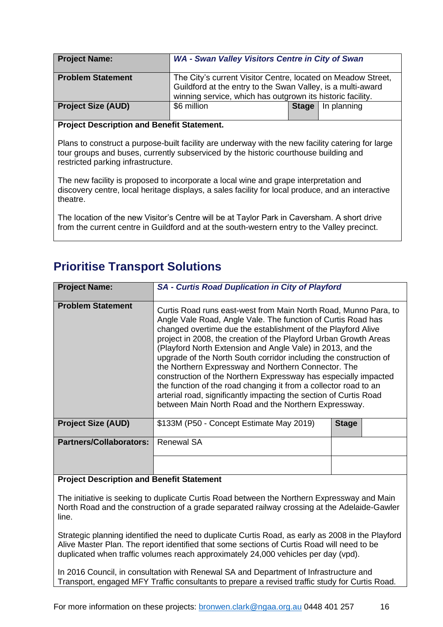<span id="page-15-0"></span>

| <b>Project Name:</b>      | WA - Swan Valley Visitors Centre in City of Swan                                                                                                                                          |              |             |
|---------------------------|-------------------------------------------------------------------------------------------------------------------------------------------------------------------------------------------|--------------|-------------|
| <b>Problem Statement</b>  | The City's current Visitor Centre, located on Meadow Street,<br>Guildford at the entry to the Swan Valley, is a multi-award<br>winning service, which has outgrown its historic facility. |              |             |
| <b>Project Size (AUD)</b> | \$6 million                                                                                                                                                                               | <b>Stage</b> | In planning |

Plans to construct a purpose-built facility are underway with the new facility catering for large tour groups and buses, currently subserviced by the historic courthouse building and restricted parking infrastructure.

The new facility is proposed to incorporate a local wine and grape interpretation and discovery centre, local heritage displays, a sales facility for local produce, and an interactive theatre.

The location of the new Visitor's Centre will be at Taylor Park in Caversham. A short drive from the current centre in Guildford and at the south-western entry to the Valley precinct.

# <span id="page-15-1"></span>**Prioritise Transport Solutions**

<span id="page-15-2"></span>

| <b>Project Name:</b>           | <b>SA - Curtis Road Duplication in City of Playford</b>                                                                                                                                                                                                                                                                                                                                                                                                                                                                                                                                                                                                                                                                           |              |  |
|--------------------------------|-----------------------------------------------------------------------------------------------------------------------------------------------------------------------------------------------------------------------------------------------------------------------------------------------------------------------------------------------------------------------------------------------------------------------------------------------------------------------------------------------------------------------------------------------------------------------------------------------------------------------------------------------------------------------------------------------------------------------------------|--------------|--|
|                                |                                                                                                                                                                                                                                                                                                                                                                                                                                                                                                                                                                                                                                                                                                                                   |              |  |
| <b>Problem Statement</b>       | Curtis Road runs east-west from Main North Road, Munno Para, to<br>Angle Vale Road, Angle Vale. The function of Curtis Road has<br>changed overtime due the establishment of the Playford Alive<br>project in 2008, the creation of the Playford Urban Growth Areas<br>(Playford North Extension and Angle Vale) in 2013, and the<br>upgrade of the North South corridor including the construction of<br>the Northern Expressway and Northern Connector. The<br>construction of the Northern Expressway has especially impacted<br>the function of the road changing it from a collector road to an<br>arterial road, significantly impacting the section of Curtis Road<br>between Main North Road and the Northern Expressway. |              |  |
| <b>Project Size (AUD)</b>      | \$133M (P50 - Concept Estimate May 2019)                                                                                                                                                                                                                                                                                                                                                                                                                                                                                                                                                                                                                                                                                          | <b>Stage</b> |  |
| <b>Partners/Collaborators:</b> | <b>Renewal SA</b>                                                                                                                                                                                                                                                                                                                                                                                                                                                                                                                                                                                                                                                                                                                 |              |  |
|                                |                                                                                                                                                                                                                                                                                                                                                                                                                                                                                                                                                                                                                                                                                                                                   |              |  |

### **Project Description and Benefit Statement**

The initiative is seeking to duplicate Curtis Road between the Northern Expressway and Main North Road and the construction of a grade separated railway crossing at the Adelaide-Gawler line.

Strategic planning identified the need to duplicate Curtis Road, as early as 2008 in the Playford Alive Master Plan. The report identified that some sections of Curtis Road will need to be duplicated when traffic volumes reach approximately 24,000 vehicles per day (vpd).

In 2016 Council, in consultation with Renewal SA and Department of Infrastructure and Transport, engaged MFY Traffic consultants to prepare a revised traffic study for Curtis Road.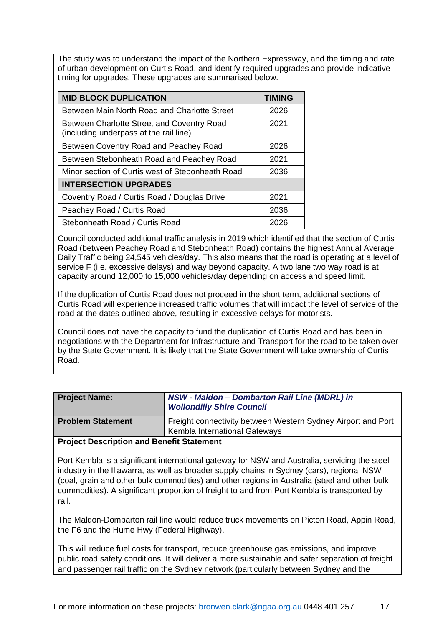The study was to understand the impact of the Northern Expressway, and the timing and rate of urban development on Curtis Road, and identify required upgrades and provide indicative timing for upgrades. These upgrades are summarised below.

| <b>MID BLOCK DUPLICATION</b>                                                         | <b>TIMING</b> |
|--------------------------------------------------------------------------------------|---------------|
| Between Main North Road and Charlotte Street                                         | 2026          |
| Between Charlotte Street and Coventry Road<br>(including underpass at the rail line) | 2021          |
| Between Coventry Road and Peachey Road                                               | 2026          |
| Between Stebonheath Road and Peachey Road                                            | 2021          |
| Minor section of Curtis west of Stebonheath Road                                     | 2036          |
| <b>INTERSECTION UPGRADES</b>                                                         |               |
| Coventry Road / Curtis Road / Douglas Drive                                          | 2021          |
| Peachey Road / Curtis Road                                                           | 2036          |
| Stebonheath Road / Curtis Road                                                       | 2026          |

Council conducted additional traffic analysis in 2019 which identified that the section of Curtis Road (between Peachey Road and Stebonheath Road) contains the highest Annual Average Daily Traffic being 24,545 vehicles/day. This also means that the road is operating at a level of service F (i.e. excessive delays) and way beyond capacity. A two lane two way road is at capacity around 12,000 to 15,000 vehicles/day depending on access and speed limit.

If the duplication of Curtis Road does not proceed in the short term, additional sections of Curtis Road will experience increased traffic volumes that will impact the level of service of the road at the dates outlined above, resulting in excessive delays for motorists.

Council does not have the capacity to fund the duplication of Curtis Road and has been in negotiations with the Department for Infrastructure and Transport for the road to be taken over by the State Government. It is likely that the State Government will take ownership of Curtis Road.

<span id="page-16-0"></span>

| <b>Project Name:</b>     | NSW - Maldon - Dombarton Rail Line (MDRL) in<br><b>Wollondilly Shire Council</b> |
|--------------------------|----------------------------------------------------------------------------------|
| <b>Problem Statement</b> | Freight connectivity between Western Sydney Airport and Port                     |
|                          | <b>Kembla International Gateways</b>                                             |

# **Project Description and Benefit Statement**

Port Kembla is a significant international gateway for NSW and Australia, servicing the steel industry in the Illawarra, as well as broader supply chains in Sydney (cars), regional NSW (coal, grain and other bulk commodities) and other regions in Australia (steel and other bulk commodities). A significant proportion of freight to and from Port Kembla is transported by rail.

The Maldon-Dombarton rail line would reduce truck movements on Picton Road, Appin Road, the F6 and the Hume Hwy (Federal Highway).

This will reduce fuel costs for transport, reduce greenhouse gas emissions, and improve public road safety conditions. It will deliver a more sustainable and safer separation of freight and passenger rail traffic on the Sydney network (particularly between Sydney and the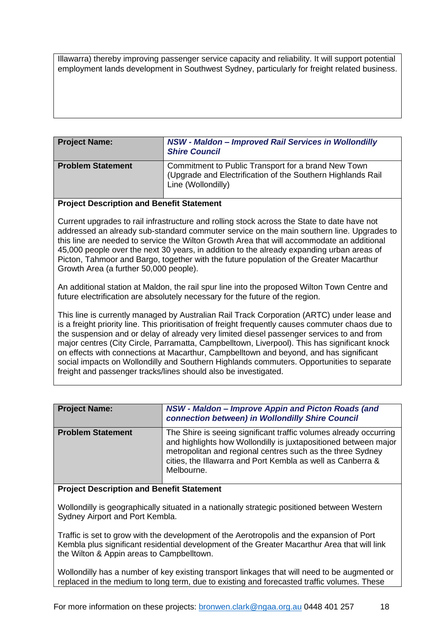Illawarra) thereby improving passenger service capacity and reliability. It will support potential employment lands development in Southwest Sydney, particularly for freight related business.

<span id="page-17-0"></span>

| <b>Project Name:</b>     | NSW - Maldon - Improved Rail Services in Wollondilly<br><b>Shire Council</b>                                                             |
|--------------------------|------------------------------------------------------------------------------------------------------------------------------------------|
| <b>Problem Statement</b> | Commitment to Public Transport for a brand New Town<br>(Upgrade and Electrification of the Southern Highlands Rail<br>Line (Wollondilly) |

#### **Project Description and Benefit Statement**

Current upgrades to rail infrastructure and rolling stock across the State to date have not addressed an already sub-standard commuter service on the main southern line. Upgrades to this line are needed to service the Wilton Growth Area that will accommodate an additional 45,000 people over the next 30 years, in addition to the already expanding urban areas of Picton, Tahmoor and Bargo, together with the future population of the Greater Macarthur Growth Area (a further 50,000 people).

An additional station at Maldon, the rail spur line into the proposed Wilton Town Centre and future electrification are absolutely necessary for the future of the region.

This line is currently managed by Australian Rail Track Corporation (ARTC) under lease and is a freight priority line. This prioritisation of freight frequently causes commuter chaos due to the suspension and or delay of already very limited diesel passenger services to and from major centres (City Circle, Parramatta, Campbelltown, Liverpool). This has significant knock on effects with connections at Macarthur, Campbelltown and beyond, and has significant social impacts on Wollondilly and Southern Highlands commuters. Opportunities to separate freight and passenger tracks/lines should also be investigated.

<span id="page-17-1"></span>

| <b>Project Name:</b>     | NSW - Maldon - Improve Appin and Picton Roads (and<br>connection between) in Wollondilly Shire Council                                                                                                                                                                          |
|--------------------------|---------------------------------------------------------------------------------------------------------------------------------------------------------------------------------------------------------------------------------------------------------------------------------|
| <b>Problem Statement</b> | The Shire is seeing significant traffic volumes already occurring<br>and highlights how Wollondilly is juxtapositioned between major<br>metropolitan and regional centres such as the three Sydney<br>cities, the Illawarra and Port Kembla as well as Canberra &<br>Melbourne. |

#### **Project Description and Benefit Statement**

Wollondilly is geographically situated in a nationally strategic positioned between Western Sydney Airport and Port Kembla.

Traffic is set to grow with the development of the Aerotropolis and the expansion of Port Kembla plus significant residential development of the Greater Macarthur Area that will link the Wilton & Appin areas to Campbelltown.

Wollondilly has a number of key existing transport linkages that will need to be augmented or replaced in the medium to long term, due to existing and forecasted traffic volumes. These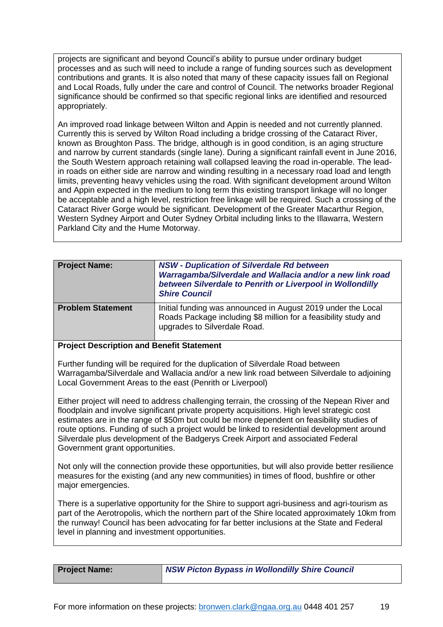projects are significant and beyond Council's ability to pursue under ordinary budget processes and as such will need to include a range of funding sources such as development contributions and grants. It is also noted that many of these capacity issues fall on Regional and Local Roads, fully under the care and control of Council. The networks broader Regional significance should be confirmed so that specific regional links are identified and resourced appropriately.

An improved road linkage between Wilton and Appin is needed and not currently planned. Currently this is served by Wilton Road including a bridge crossing of the Cataract River, known as Broughton Pass. The bridge, although is in good condition, is an aging structure and narrow by current standards (single lane). During a significant rainfall event in June 2016, the South Western approach retaining wall collapsed leaving the road in-operable. The leadin roads on either side are narrow and winding resulting in a necessary road load and length limits, preventing heavy vehicles using the road. With significant development around Wilton and Appin expected in the medium to long term this existing transport linkage will no longer be acceptable and a high level, restriction free linkage will be required. Such a crossing of the Cataract River Gorge would be significant. Development of the Greater Macarthur Region, Western Sydney Airport and Outer Sydney Orbital including links to the Illawarra, Western Parkland City and the Hume Motorway.

<span id="page-18-0"></span>

| <b>Project Name:</b>     | <b>NSW - Duplication of Silverdale Rd between</b><br>Warragamba/Silverdale and Wallacia and/or a new link road<br>between Silverdale to Penrith or Liverpool in Wollondilly<br><b>Shire Council</b> |
|--------------------------|-----------------------------------------------------------------------------------------------------------------------------------------------------------------------------------------------------|
| <b>Problem Statement</b> | Initial funding was announced in August 2019 under the Local<br>Roads Package including \$8 million for a feasibility study and<br>upgrades to Silverdale Road.                                     |

### **Project Description and Benefit Statement**

Further funding will be required for the duplication of Silverdale Road between Warragamba/Silverdale and Wallacia and/or a new link road between Silverdale to adjoining Local Government Areas to the east (Penrith or Liverpool)

Either project will need to address challenging terrain, the crossing of the Nepean River and floodplain and involve significant private property acquisitions. High level strategic cost estimates are in the range of \$50m but could be more dependent on feasibility studies of route options. Funding of such a project would be linked to residential development around Silverdale plus development of the Badgerys Creek Airport and associated Federal Government grant opportunities.

Not only will the connection provide these opportunities, but will also provide better resilience measures for the existing (and any new communities) in times of flood, bushfire or other major emergencies.

There is a superlative opportunity for the Shire to support agri-business and agri-tourism as part of the Aerotropolis, which the northern part of the Shire located approximately 10km from the runway! Council has been advocating for far better inclusions at the State and Federal level in planning and investment opportunities.

<span id="page-18-1"></span>**Project Name:** *NSW Picton Bypass in Wollondilly Shire Council*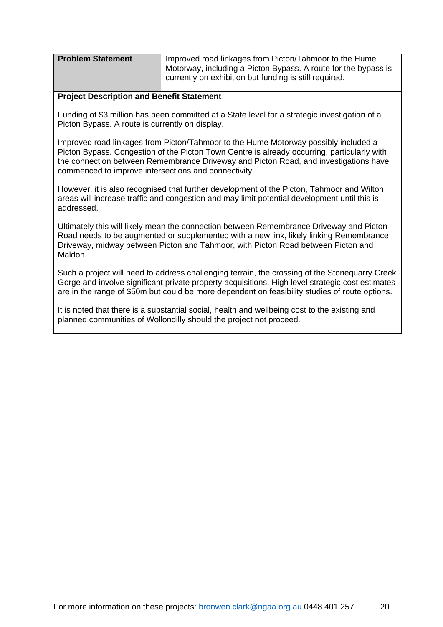| <b>Problem Statement</b> | Improved road linkages from Picton/Tahmoor to the Hume         |
|--------------------------|----------------------------------------------------------------|
|                          | Motorway, including a Picton Bypass. A route for the bypass is |
|                          | currently on exhibition but funding is still required.         |

Funding of \$3 million has been committed at a State level for a strategic investigation of a Picton Bypass. A route is currently on display.

Improved road linkages from Picton/Tahmoor to the Hume Motorway possibly included a Picton Bypass. Congestion of the Picton Town Centre is already occurring, particularly with the connection between Remembrance Driveway and Picton Road, and investigations have commenced to improve intersections and connectivity.

However, it is also recognised that further development of the Picton, Tahmoor and Wilton areas will increase traffic and congestion and may limit potential development until this is addressed.

Ultimately this will likely mean the connection between Remembrance Driveway and Picton Road needs to be augmented or supplemented with a new link, likely linking Remembrance Driveway, midway between Picton and Tahmoor, with Picton Road between Picton and Maldon.

Such a project will need to address challenging terrain, the crossing of the Stonequarry Creek Gorge and involve significant private property acquisitions. High level strategic cost estimates are in the range of \$50m but could be more dependent on feasibility studies of route options.

It is noted that there is a substantial social, health and wellbeing cost to the existing and planned communities of Wollondilly should the project not proceed.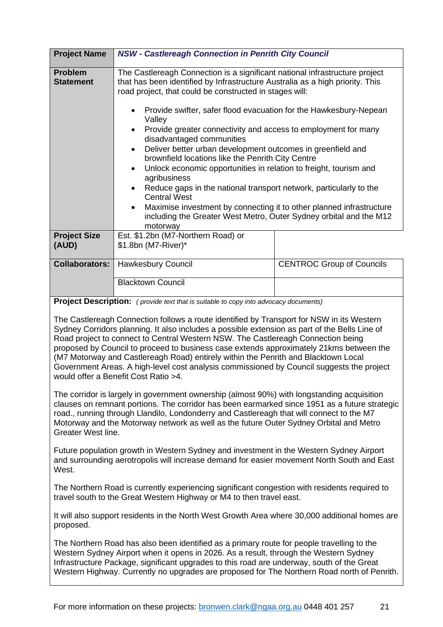<span id="page-20-0"></span>

| <b>Project Name</b>                | <b>NSW - Castlereagh Connection in Penrith City Council</b>                                                                                                                                                                     |                                  |  |
|------------------------------------|---------------------------------------------------------------------------------------------------------------------------------------------------------------------------------------------------------------------------------|----------------------------------|--|
| <b>Problem</b><br><b>Statement</b> | The Castlereagh Connection is a significant national infrastructure project<br>that has been identified by Infrastructure Australia as a high priority. This<br>road project, that could be constructed in stages will:         |                                  |  |
|                                    | Provide swifter, safer flood evacuation for the Hawkesbury-Nepean<br>٠<br>Valley<br>Provide greater connectivity and access to employment for many<br>$\bullet$<br>disadvantaged communities                                    |                                  |  |
|                                    | Deliver better urban development outcomes in greenfield and<br>$\bullet$<br>brownfield locations like the Penrith City Centre<br>Unlock economic opportunities in relation to freight, tourism and<br>$\bullet$<br>agribusiness |                                  |  |
|                                    | Reduce gaps in the national transport network, particularly to the<br>$\bullet$<br><b>Central West</b>                                                                                                                          |                                  |  |
|                                    | Maximise investment by connecting it to other planned infrastructure<br>$\bullet$<br>including the Greater West Metro, Outer Sydney orbital and the M12<br>motorway                                                             |                                  |  |
| <b>Project Size</b><br>(AUD)       | Est. \$1.2bn (M7-Northern Road) or<br>\$1.8bn (M7-River)*                                                                                                                                                                       |                                  |  |
| <b>Collaborators:</b>              | Hawkesbury Council                                                                                                                                                                                                              | <b>CENTROC Group of Councils</b> |  |
|                                    | <b>Blacktown Council</b>                                                                                                                                                                                                        |                                  |  |

**Project Description:** *( provide text that is suitable to copy into advocacy documents)*

The Castlereagh Connection follows a route identified by Transport for NSW in its Western Sydney Corridors planning. It also includes a possible extension as part of the Bells Line of Road project to connect to Central Western NSW. The Castlereagh Connection being proposed by Council to proceed to business case extends approximately 21kms between the (M7 Motorway and Castlereagh Road) entirely within the Penrith and Blacktown Local Government Areas. A high-level cost analysis commissioned by Council suggests the project would offer a Benefit Cost Ratio >4.

The corridor is largely in government ownership (almost 90%) with longstanding acquisition clauses on remnant portions. The corridor has been earmarked since 1951 as a future strategic road., running through Llandilo, Londonderry and Castlereagh that will connect to the M7 Motorway and the Motorway network as well as the future Outer Sydney Orbital and Metro Greater West line.

Future population growth in Western Sydney and investment in the Western Sydney Airport and surrounding aerotropolis will increase demand for easier movement North South and East West.

The Northern Road is currently experiencing significant congestion with residents required to travel south to the Great Western Highway or M4 to then travel east.

It will also support residents in the North West Growth Area where 30,000 additional homes are proposed.

The Northern Road has also been identified as a primary route for people travelling to the Western Sydney Airport when it opens in 2026. As a result, through the Western Sydney Infrastructure Package, significant upgrades to this road are underway, south of the Great Western Highway. Currently no upgrades are proposed for The Northern Road north of Penrith.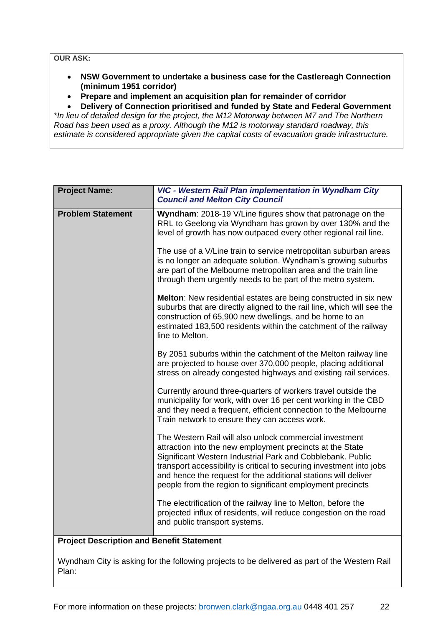**OUR ASK:** 

- **NSW Government to undertake a business case for the Castlereagh Connection (minimum 1951 corridor)**
- **Prepare and implement an acquisition plan for remainder of corridor**

• **Delivery of Connection prioritised and funded by State and Federal Government**

*\*In lieu of detailed design for the project, the M12 Motorway between M7 and The Northern Road has been used as a proxy. Although the M12 is motorway standard roadway, this estimate is considered appropriate given the capital costs of evacuation grade infrastructure.*

<span id="page-21-0"></span>

| <b>Project Name:</b>     | VIC - Western Rail Plan implementation in Wyndham City<br><b>Council and Melton City Council</b>                                                                                                                                                                                                                                                                                           |
|--------------------------|--------------------------------------------------------------------------------------------------------------------------------------------------------------------------------------------------------------------------------------------------------------------------------------------------------------------------------------------------------------------------------------------|
| <b>Problem Statement</b> | Wyndham: 2018-19 V/Line figures show that patronage on the<br>RRL to Geelong via Wyndham has grown by over 130% and the<br>level of growth has now outpaced every other regional rail line.                                                                                                                                                                                                |
|                          | The use of a V/Line train to service metropolitan suburban areas<br>is no longer an adequate solution. Wyndham's growing suburbs<br>are part of the Melbourne metropolitan area and the train line<br>through them urgently needs to be part of the metro system.                                                                                                                          |
|                          | Melton: New residential estates are being constructed in six new<br>suburbs that are directly aligned to the rail line, which will see the<br>construction of 65,900 new dwellings, and be home to an<br>estimated 183,500 residents within the catchment of the railway<br>line to Melton.                                                                                                |
|                          | By 2051 suburbs within the catchment of the Melton railway line<br>are projected to house over 370,000 people, placing additional<br>stress on already congested highways and existing rail services.                                                                                                                                                                                      |
|                          | Currently around three-quarters of workers travel outside the<br>municipality for work, with over 16 per cent working in the CBD<br>and they need a frequent, efficient connection to the Melbourne<br>Train network to ensure they can access work.                                                                                                                                       |
|                          | The Western Rail will also unlock commercial investment<br>attraction into the new employment precincts at the State<br>Significant Western Industrial Park and Cobblebank. Public<br>transport accessibility is critical to securing investment into jobs<br>and hence the request for the additional stations will deliver<br>people from the region to significant employment precincts |
| .<br>-1 M                | The electrification of the railway line to Melton, before the<br>projected influx of residents, will reduce congestion on the road<br>and public transport systems.<br>d Danafis Ciatamac                                                                                                                                                                                                  |

### **Project Description and Benefit Statement**

Wyndham City is asking for the following projects to be delivered as part of the Western Rail Plan: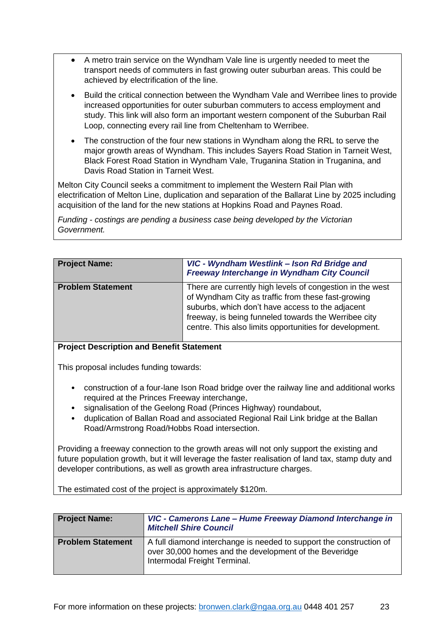- A metro train service on the Wyndham Vale line is urgently needed to meet the transport needs of commuters in fast growing outer suburban areas. This could be achieved by electrification of the line.
- Build the critical connection between the Wyndham Vale and Werribee lines to provide increased opportunities for outer suburban commuters to access employment and study. This link will also form an important western component of the Suburban Rail Loop, connecting every rail line from Cheltenham to Werribee.
- The construction of the four new stations in Wyndham along the RRL to serve the major growth areas of Wyndham. This includes Sayers Road Station in Tarneit West, Black Forest Road Station in Wyndham Vale, Truganina Station in Truganina, and Davis Road Station in Tarneit West.

Melton City Council seeks a commitment to implement the Western Rail Plan with electrification of Melton Line, duplication and separation of the Ballarat Line by 2025 including acquisition of the land for the new stations at Hopkins Road and Paynes Road.

*Funding - costings are pending a business case being developed by the Victorian Government.*

<span id="page-22-0"></span>

| <b>Project Name:</b>     | VIC - Wyndham Westlink - Ison Rd Bridge and<br>Freeway Interchange in Wyndham City Council                                                                                                                                                                                             |
|--------------------------|----------------------------------------------------------------------------------------------------------------------------------------------------------------------------------------------------------------------------------------------------------------------------------------|
| <b>Problem Statement</b> | There are currently high levels of congestion in the west<br>of Wyndham City as traffic from these fast-growing<br>suburbs, which don't have access to the adjacent<br>freeway, is being funneled towards the Werribee city<br>centre. This also limits opportunities for development. |

### **Project Description and Benefit Statement**

This proposal includes funding towards:

- construction of a four-lane Ison Road bridge over the railway line and additional works required at the Princes Freeway interchange,
- signalisation of the Geelong Road (Princes Highway) roundabout,
- duplication of Ballan Road and associated Regional Rail Link bridge at the Ballan Road/Armstrong Road/Hobbs Road intersection.

Providing a freeway connection to the growth areas will not only support the existing and future population growth, but it will leverage the faster realisation of land tax, stamp duty and developer contributions, as well as growth area infrastructure charges.

The estimated cost of the project is approximately \$120m.

<span id="page-22-1"></span>

| <b>Project Name:</b>     | VIC - Camerons Lane - Hume Freeway Diamond Interchange in<br><b>Mitchell Shire Council</b>                                                                    |
|--------------------------|---------------------------------------------------------------------------------------------------------------------------------------------------------------|
| <b>Problem Statement</b> | A full diamond interchange is needed to support the construction of<br>over 30,000 homes and the development of the Beveridge<br>Intermodal Freight Terminal. |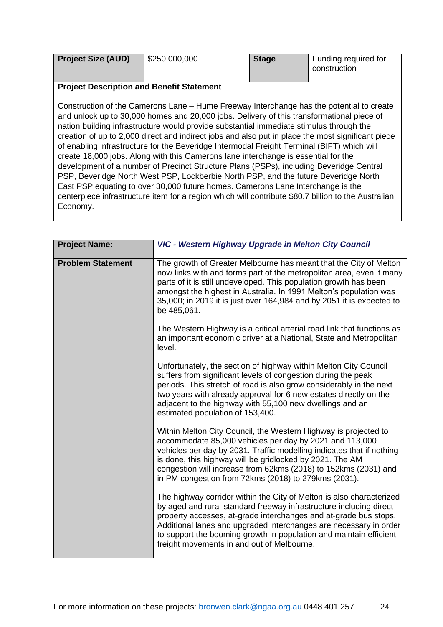| <b>Project Size (AUD)</b> | \$250,000,000 | <b>Stage</b> | Funding required for |
|---------------------------|---------------|--------------|----------------------|
|                           |               |              | construction         |

Construction of the Camerons Lane – Hume Freeway Interchange has the potential to create and unlock up to 30,000 homes and 20,000 jobs. Delivery of this transformational piece of nation building infrastructure would provide substantial immediate stimulus through the creation of up to 2,000 direct and indirect jobs and also put in place the most significant piece of enabling infrastructure for the Beveridge Intermodal Freight Terminal (BIFT) which will create 18,000 jobs. Along with this Camerons lane interchange is essential for the development of a number of Precinct Structure Plans (PSPs), including Beveridge Central PSP, Beveridge North West PSP, Lockberbie North PSP, and the future Beveridge North East PSP equating to over 30,000 future homes. Camerons Lane Interchange is the centerpiece infrastructure item for a region which will contribute \$80.7 billion to the Australian Economy.

<span id="page-23-0"></span>

| <b>Project Name:</b>     | VIC - Western Highway Upgrade in Melton City Council                                                                                                                                                                                                                                                                                                                                                    |
|--------------------------|---------------------------------------------------------------------------------------------------------------------------------------------------------------------------------------------------------------------------------------------------------------------------------------------------------------------------------------------------------------------------------------------------------|
|                          |                                                                                                                                                                                                                                                                                                                                                                                                         |
| <b>Problem Statement</b> | The growth of Greater Melbourne has meant that the City of Melton<br>now links with and forms part of the metropolitan area, even if many<br>parts of it is still undeveloped. This population growth has been<br>amongst the highest in Australia. In 1991 Melton's population was<br>35,000; in 2019 it is just over 164,984 and by 2051 it is expected to<br>be 485,061.                             |
|                          | The Western Highway is a critical arterial road link that functions as<br>an important economic driver at a National, State and Metropolitan<br>level.                                                                                                                                                                                                                                                  |
|                          | Unfortunately, the section of highway within Melton City Council<br>suffers from significant levels of congestion during the peak<br>periods. This stretch of road is also grow considerably in the next<br>two years with already approval for 6 new estates directly on the<br>adjacent to the highway with 55,100 new dwellings and an<br>estimated population of 153,400.                           |
|                          | Within Melton City Council, the Western Highway is projected to<br>accommodate 85,000 vehicles per day by 2021 and 113,000<br>vehicles per day by 2031. Traffic modelling indicates that if nothing<br>is done, this highway will be gridlocked by 2021. The AM<br>congestion will increase from 62kms (2018) to 152kms (2031) and<br>in PM congestion from 72kms (2018) to 279kms (2031).              |
|                          | The highway corridor within the City of Melton is also characterized<br>by aged and rural-standard freeway infrastructure including direct<br>property accesses, at-grade interchanges and at-grade bus stops.<br>Additional lanes and upgraded interchanges are necessary in order<br>to support the booming growth in population and maintain efficient<br>freight movements in and out of Melbourne. |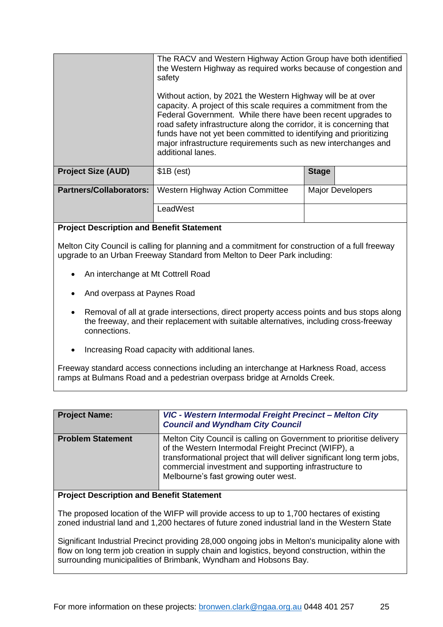|                                | The RACV and Western Highway Action Group have both identified<br>the Western Highway as required works because of congestion and<br>safety<br>Without action, by 2021 the Western Highway will be at over<br>capacity. A project of this scale requires a commitment from the<br>Federal Government. While there have been recent upgrades to<br>road safety infrastructure along the corridor, it is concerning that<br>funds have not yet been committed to identifying and prioritizing<br>major infrastructure requirements such as new interchanges and<br>additional lanes. |              |
|--------------------------------|------------------------------------------------------------------------------------------------------------------------------------------------------------------------------------------------------------------------------------------------------------------------------------------------------------------------------------------------------------------------------------------------------------------------------------------------------------------------------------------------------------------------------------------------------------------------------------|--------------|
| <b>Project Size (AUD)</b>      | $$1B$ (est)                                                                                                                                                                                                                                                                                                                                                                                                                                                                                                                                                                        | <b>Stage</b> |
|                                |                                                                                                                                                                                                                                                                                                                                                                                                                                                                                                                                                                                    |              |
| <b>Partners/Collaborators:</b> | <b>Western Highway Action Committee</b><br><b>Major Developers</b>                                                                                                                                                                                                                                                                                                                                                                                                                                                                                                                 |              |
|                                | LeadWest                                                                                                                                                                                                                                                                                                                                                                                                                                                                                                                                                                           |              |

Melton City Council is calling for planning and a commitment for construction of a full freeway upgrade to an Urban Freeway Standard from Melton to Deer Park including:

- An interchange at Mt Cottrell Road
- And overpass at Paynes Road
- Removal of all at grade intersections, direct property access points and bus stops along the freeway, and their replacement with suitable alternatives, including cross-freeway connections.
- Increasing Road capacity with additional lanes.

Freeway standard access connections including an interchange at Harkness Road, access ramps at Bulmans Road and a pedestrian overpass bridge at Arnolds Creek.

<span id="page-24-0"></span>

| <b>Project Name:</b>     | VIC - Western Intermodal Freight Precinct - Melton City<br><b>Council and Wyndham City Council</b>                                                                                                                                                                                                      |
|--------------------------|---------------------------------------------------------------------------------------------------------------------------------------------------------------------------------------------------------------------------------------------------------------------------------------------------------|
| <b>Problem Statement</b> | Melton City Council is calling on Government to prioritise delivery<br>of the Western Intermodal Freight Precinct (WIFP), a<br>transformational project that will deliver significant long term jobs,<br>commercial investment and supporting infrastructure to<br>Melbourne's fast growing outer west. |

#### **Project Description and Benefit Statement**

The proposed location of the WIFP will provide access to up to 1,700 hectares of existing zoned industrial land and 1,200 hectares of future zoned industrial land in the Western State

Significant Industrial Precinct providing 28,000 ongoing jobs in Melton's municipality alone with flow on long term job creation in supply chain and logistics, beyond construction, within the surrounding municipalities of Brimbank, Wyndham and Hobsons Bay.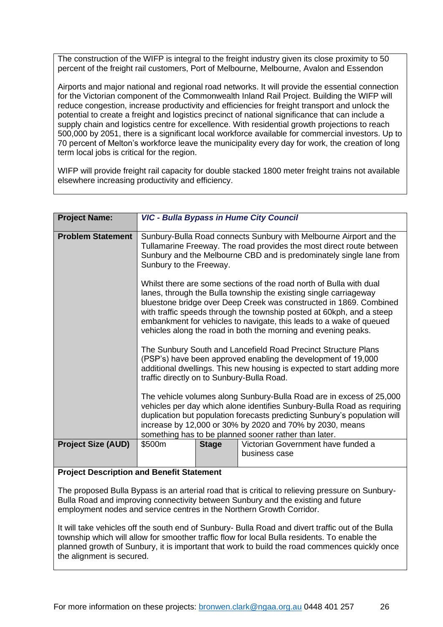The construction of the WIFP is integral to the freight industry given its close proximity to 50 percent of the freight rail customers, Port of Melbourne, Melbourne, Avalon and Essendon

Airports and major national and regional road networks. It will provide the essential connection for the Victorian component of the Commonwealth Inland Rail Project. Building the WIFP will reduce congestion, increase productivity and efficiencies for freight transport and unlock the potential to create a freight and logistics precinct of national significance that can include a supply chain and logistics centre for excellence. With residential growth projections to reach 500,000 by 2051, there is a significant local workforce available for commercial investors. Up to 70 percent of Melton's workforce leave the municipality every day for work, the creation of long term local jobs is critical for the region.

WIFP will provide freight rail capacity for double stacked 1800 meter freight trains not available elsewhere increasing productivity and efficiency.

<span id="page-25-0"></span>

| <b>Project Name:</b>      | <b>VIC - Bulla Bypass in Hume City Council</b>                                                                                                                                                                                                                                                                                                    |              |                                                                                                                                                                                                                                                                                                                                                                                                                                  |
|---------------------------|---------------------------------------------------------------------------------------------------------------------------------------------------------------------------------------------------------------------------------------------------------------------------------------------------------------------------------------------------|--------------|----------------------------------------------------------------------------------------------------------------------------------------------------------------------------------------------------------------------------------------------------------------------------------------------------------------------------------------------------------------------------------------------------------------------------------|
|                           |                                                                                                                                                                                                                                                                                                                                                   |              |                                                                                                                                                                                                                                                                                                                                                                                                                                  |
| <b>Problem Statement</b>  | Sunbury-Bulla Road connects Sunbury with Melbourne Airport and the<br>Tullamarine Freeway. The road provides the most direct route between<br>Sunbury and the Melbourne CBD and is predominately single lane from<br>Sunbury to the Freeway.                                                                                                      |              |                                                                                                                                                                                                                                                                                                                                                                                                                                  |
|                           |                                                                                                                                                                                                                                                                                                                                                   |              | Whilst there are some sections of the road north of Bulla with dual<br>lanes, through the Bulla township the existing single carriageway<br>bluestone bridge over Deep Creek was constructed in 1869. Combined<br>with traffic speeds through the township posted at 60kph, and a steep<br>embankment for vehicles to navigate, this leads to a wake of queued<br>vehicles along the road in both the morning and evening peaks. |
|                           | traffic directly on to Sunbury-Bulla Road.                                                                                                                                                                                                                                                                                                        |              | The Sunbury South and Lancefield Road Precinct Structure Plans<br>(PSP's) have been approved enabling the development of 19,000<br>additional dwellings. This new housing is expected to start adding more                                                                                                                                                                                                                       |
|                           | The vehicle volumes along Sunbury-Bulla Road are in excess of 25,000<br>vehicles per day which alone identifies Sunbury-Bulla Road as requiring<br>duplication but population forecasts predicting Sunbury's population will<br>increase by 12,000 or 30% by 2020 and 70% by 2030, means<br>something has to be planned sooner rather than later. |              |                                                                                                                                                                                                                                                                                                                                                                                                                                  |
| <b>Project Size (AUD)</b> | \$500m                                                                                                                                                                                                                                                                                                                                            | <b>Stage</b> | Victorian Government have funded a<br>business case                                                                                                                                                                                                                                                                                                                                                                              |

### **Project Description and Benefit Statement**

The proposed Bulla Bypass is an arterial road that is critical to relieving pressure on Sunbury-Bulla Road and improving connectivity between Sunbury and the existing and future employment nodes and service centres in the Northern Growth Corridor.

It will take vehicles off the south end of Sunbury- Bulla Road and divert traffic out of the Bulla township which will allow for smoother traffic flow for local Bulla residents. To enable the planned growth of Sunbury, it is important that work to build the road commences quickly once the alignment is secured.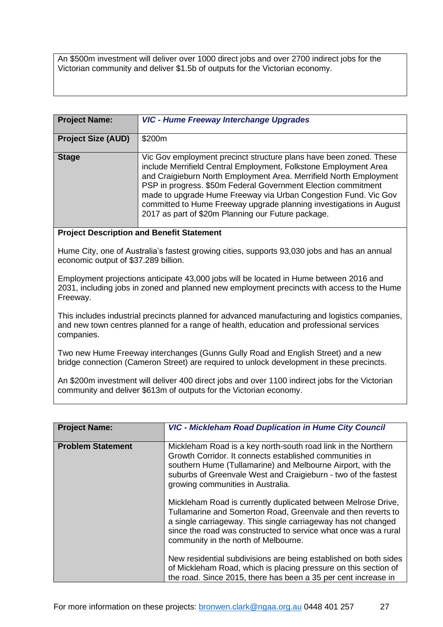An \$500m investment will deliver over 1000 direct jobs and over 2700 indirect jobs for the Victorian community and deliver \$1.5b of outputs for the Victorian economy.

<span id="page-26-0"></span>

| <b>Project Name:</b>      | <b>VIC - Hume Freeway Interchange Upgrades</b>                                                                                                                                                                                                                                                                                                                                                                                                                                |
|---------------------------|-------------------------------------------------------------------------------------------------------------------------------------------------------------------------------------------------------------------------------------------------------------------------------------------------------------------------------------------------------------------------------------------------------------------------------------------------------------------------------|
| <b>Project Size (AUD)</b> | \$200m                                                                                                                                                                                                                                                                                                                                                                                                                                                                        |
| <b>Stage</b>              | Vic Gov employment precinct structure plans have been zoned. These<br>include Merrifield Central Employment, Folkstone Employment Area<br>and Craigieburn North Employment Area. Merrifield North Employment<br>PSP in progress. \$50m Federal Government Election commitment<br>made to upgrade Hume Freeway via Urban Congestion Fund. Vic Gov<br>committed to Hume Freeway upgrade planning investigations in August<br>2017 as part of \$20m Planning our Future package. |

# **Project Description and Benefit Statement**

Hume City, one of Australia's fastest growing cities, supports 93,030 jobs and has an annual economic output of \$37.289 billion.

Employment projections anticipate 43,000 jobs will be located in Hume between 2016 and 2031, including jobs in zoned and planned new employment precincts with access to the Hume Freeway.

This includes industrial precincts planned for advanced manufacturing and logistics companies, and new town centres planned for a range of health, education and professional services companies.

Two new Hume Freeway interchanges (Gunns Gully Road and English Street) and a new bridge connection (Cameron Street) are required to unlock development in these precincts.

An \$200m investment will deliver 400 direct jobs and over 1100 indirect jobs for the Victorian community and deliver \$613m of outputs for the Victorian economy.

<span id="page-26-1"></span>

| <b>Project Name:</b>     | <b>VIC - Mickleham Road Duplication in Hume City Council</b>                                                                                                                                                                                                                                              |
|--------------------------|-----------------------------------------------------------------------------------------------------------------------------------------------------------------------------------------------------------------------------------------------------------------------------------------------------------|
| <b>Problem Statement</b> | Mickleham Road is a key north-south road link in the Northern<br>Growth Corridor, It connects established communities in<br>southern Hume (Tullamarine) and Melbourne Airport, with the<br>suburbs of Greenvale West and Craigieburn - two of the fastest<br>growing communities in Australia.            |
|                          | Mickleham Road is currently duplicated between Melrose Drive,<br>Tullamarine and Somerton Road, Greenvale and then reverts to<br>a single carriageway. This single carriageway has not changed<br>since the road was constructed to service what once was a rural<br>community in the north of Melbourne. |
|                          | New residential subdivisions are being established on both sides<br>of Mickleham Road, which is placing pressure on this section of<br>the road. Since 2015, there has been a 35 per cent increase in                                                                                                     |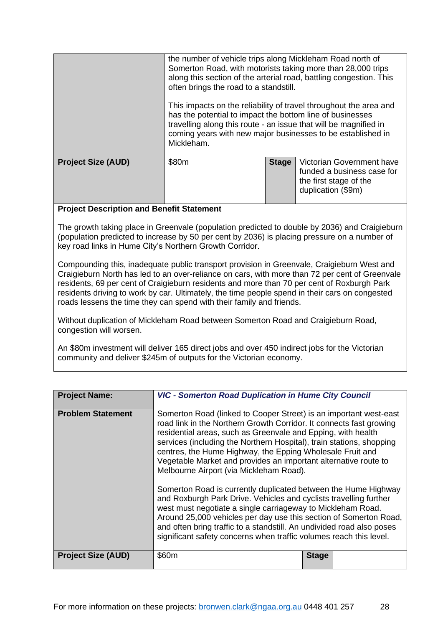|                           | the number of vehicle trips along Mickleham Road north of<br>Somerton Road, with motorists taking more than 28,000 trips<br>often brings the road to a standstill.<br>has the potential to impact the bottom line of businesses<br>travelling along this route - an issue that will be magnified in<br>coming years with new major businesses to be established in<br>Mickleham. |              | along this section of the arterial road, battling congestion. This<br>This impacts on the reliability of travel throughout the area and |
|---------------------------|----------------------------------------------------------------------------------------------------------------------------------------------------------------------------------------------------------------------------------------------------------------------------------------------------------------------------------------------------------------------------------|--------------|-----------------------------------------------------------------------------------------------------------------------------------------|
| <b>Project Size (AUD)</b> | \$80m                                                                                                                                                                                                                                                                                                                                                                            | <b>Stage</b> | Victorian Government have<br>funded a business case for<br>the first stage of the<br>duplication (\$9m)                                 |

The growth taking place in Greenvale (population predicted to double by 2036) and Craigieburn (population predicted to increase by 50 per cent by 2036) is placing pressure on a number of key road links in Hume City's Northern Growth Corridor.

Compounding this, inadequate public transport provision in Greenvale, Craigieburn West and Craigieburn North has led to an over-reliance on cars, with more than 72 per cent of Greenvale residents, 69 per cent of Craigieburn residents and more than 70 per cent of Roxburgh Park residents driving to work by car. Ultimately, the time people spend in their cars on congested roads lessens the time they can spend with their family and friends.

Without duplication of Mickleham Road between Somerton Road and Craigieburn Road, congestion will worsen.

An \$80m investment will deliver 165 direct jobs and over 450 indirect jobs for the Victorian community and deliver \$245m of outputs for the Victorian economy.

<span id="page-27-0"></span>

| <b>Project Name:</b>      | <b>VIC - Somerton Road Duplication in Hume City Council</b>                                                                                                                                                                                                                                                                                                                                                                                                                                                                                                                                                                                                                                                                                                                                                                                                                           |  |  |  |
|---------------------------|---------------------------------------------------------------------------------------------------------------------------------------------------------------------------------------------------------------------------------------------------------------------------------------------------------------------------------------------------------------------------------------------------------------------------------------------------------------------------------------------------------------------------------------------------------------------------------------------------------------------------------------------------------------------------------------------------------------------------------------------------------------------------------------------------------------------------------------------------------------------------------------|--|--|--|
| <b>Problem Statement</b>  | Somerton Road (linked to Cooper Street) is an important west-east<br>road link in the Northern Growth Corridor. It connects fast growing<br>residential areas, such as Greenvale and Epping, with health<br>services (including the Northern Hospital), train stations, shopping<br>centres, the Hume Highway, the Epping Wholesale Fruit and<br>Vegetable Market and provides an important alternative route to<br>Melbourne Airport (via Mickleham Road).<br>Somerton Road is currently duplicated between the Hume Highway<br>and Roxburgh Park Drive. Vehicles and cyclists travelling further<br>west must negotiate a single carriageway to Mickleham Road.<br>Around 25,000 vehicles per day use this section of Somerton Road,<br>and often bring traffic to a standstill. An undivided road also poses<br>significant safety concerns when traffic volumes reach this level. |  |  |  |
| <b>Project Size (AUD)</b> | \$60m<br><b>Stage</b>                                                                                                                                                                                                                                                                                                                                                                                                                                                                                                                                                                                                                                                                                                                                                                                                                                                                 |  |  |  |
|                           |                                                                                                                                                                                                                                                                                                                                                                                                                                                                                                                                                                                                                                                                                                                                                                                                                                                                                       |  |  |  |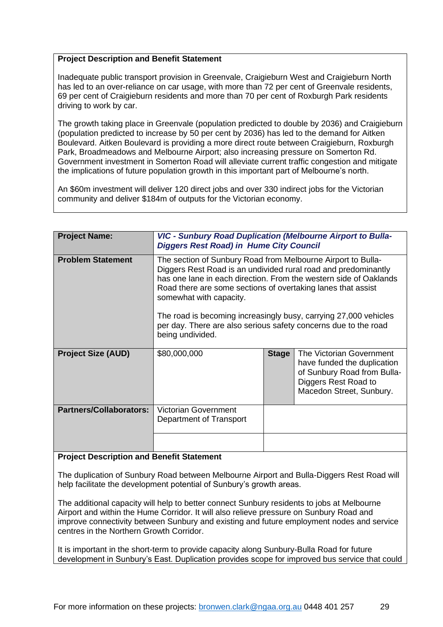Inadequate public transport provision in Greenvale, Craigieburn West and Craigieburn North has led to an over-reliance on car usage, with more than 72 per cent of Greenvale residents, 69 per cent of Craigieburn residents and more than 70 per cent of Roxburgh Park residents driving to work by car.

The growth taking place in Greenvale (population predicted to double by 2036) and Craigieburn (population predicted to increase by 50 per cent by 2036) has led to the demand for Aitken Boulevard. Aitken Boulevard is providing a more direct route between Craigieburn, Roxburgh Park, Broadmeadows and Melbourne Airport; also increasing pressure on Somerton Rd. Government investment in Somerton Road will alleviate current traffic congestion and mitigate the implications of future population growth in this important part of Melbourne's north.

An \$60m investment will deliver 120 direct jobs and over 330 indirect jobs for the Victorian community and deliver \$184m of outputs for the Victorian economy.

<span id="page-28-0"></span>

| <b>Project Name:</b>           | <b>VIC - Sunbury Road Duplication (Melbourne Airport to Bulla-</b><br><b>Diggers Rest Road) in Hume City Council</b>                                                                                                                                                                                                                                                                                                                                      |              |                                                                                                                                            |  |
|--------------------------------|-----------------------------------------------------------------------------------------------------------------------------------------------------------------------------------------------------------------------------------------------------------------------------------------------------------------------------------------------------------------------------------------------------------------------------------------------------------|--------------|--------------------------------------------------------------------------------------------------------------------------------------------|--|
| <b>Problem Statement</b>       | The section of Sunbury Road from Melbourne Airport to Bulla-<br>Diggers Rest Road is an undivided rural road and predominantly<br>has one lane in each direction. From the western side of Oaklands<br>Road there are some sections of overtaking lanes that assist<br>somewhat with capacity.<br>The road is becoming increasingly busy, carrying 27,000 vehicles<br>per day. There are also serious safety concerns due to the road<br>being undivided. |              |                                                                                                                                            |  |
| <b>Project Size (AUD)</b>      | \$80,000,000                                                                                                                                                                                                                                                                                                                                                                                                                                              | <b>Stage</b> | The Victorian Government<br>have funded the duplication<br>of Sunbury Road from Bulla-<br>Diggers Rest Road to<br>Macedon Street, Sunbury. |  |
| <b>Partners/Collaborators:</b> | <b>Victorian Government</b><br>Department of Transport                                                                                                                                                                                                                                                                                                                                                                                                    |              |                                                                                                                                            |  |
|                                |                                                                                                                                                                                                                                                                                                                                                                                                                                                           |              |                                                                                                                                            |  |

#### **Project Description and Benefit Statement**

The duplication of Sunbury Road between Melbourne Airport and Bulla-Diggers Rest Road will help facilitate the development potential of Sunbury's growth areas.

The additional capacity will help to better connect Sunbury residents to jobs at Melbourne Airport and within the Hume Corridor. It will also relieve pressure on Sunbury Road and improve connectivity between Sunbury and existing and future employment nodes and service centres in the Northern Growth Corridor.

It is important in the short-term to provide capacity along Sunbury-Bulla Road for future development in Sunbury's East. Duplication provides scope for improved bus service that could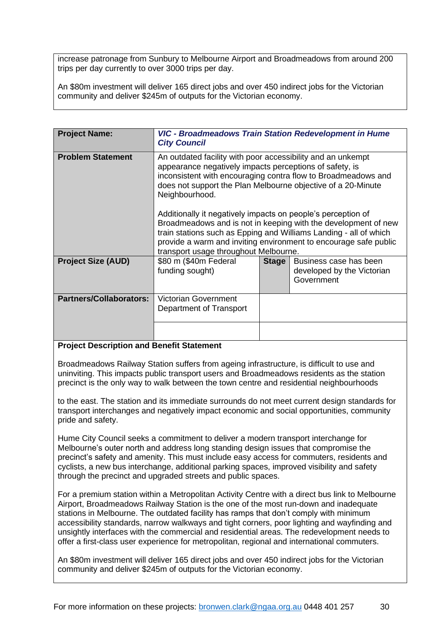increase patronage from Sunbury to Melbourne Airport and Broadmeadows from around 200 trips per day currently to over 3000 trips per day.

An \$80m investment will deliver 165 direct jobs and over 450 indirect jobs for the Victorian community and deliver \$245m of outputs for the Victorian economy.

<span id="page-29-0"></span>

| <b>Project Name:</b>           | <b>VIC - Broadmeadows Train Station Redevelopment in Hume</b><br><b>City Council</b>                                                                                                                                                                                                                                                                                                                                                                                                                                                                                                          |              |                                                                    |  |
|--------------------------------|-----------------------------------------------------------------------------------------------------------------------------------------------------------------------------------------------------------------------------------------------------------------------------------------------------------------------------------------------------------------------------------------------------------------------------------------------------------------------------------------------------------------------------------------------------------------------------------------------|--------------|--------------------------------------------------------------------|--|
| <b>Problem Statement</b>       | An outdated facility with poor accessibility and an unkempt<br>appearance negatively impacts perceptions of safety, is<br>inconsistent with encouraging contra flow to Broadmeadows and<br>does not support the Plan Melbourne objective of a 20-Minute<br>Neighbourhood.<br>Additionally it negatively impacts on people's perception of<br>Broadmeadows and is not in keeping with the development of new<br>train stations such as Epping and Williams Landing - all of which<br>provide a warm and inviting environment to encourage safe public<br>transport usage throughout Melbourne. |              |                                                                    |  |
| <b>Project Size (AUD)</b>      | \$80 m (\$40m Federal<br>funding sought)                                                                                                                                                                                                                                                                                                                                                                                                                                                                                                                                                      | <b>Stage</b> | Business case has been<br>developed by the Victorian<br>Government |  |
| <b>Partners/Collaborators:</b> | <b>Victorian Government</b><br>Department of Transport                                                                                                                                                                                                                                                                                                                                                                                                                                                                                                                                        |              |                                                                    |  |
|                                |                                                                                                                                                                                                                                                                                                                                                                                                                                                                                                                                                                                               |              |                                                                    |  |

### **Project Description and Benefit Statement**

Broadmeadows Railway Station suffers from ageing infrastructure, is difficult to use and uninviting. This impacts public transport users and Broadmeadows residents as the station precinct is the only way to walk between the town centre and residential neighbourhoods

to the east. The station and its immediate surrounds do not meet current design standards for transport interchanges and negatively impact economic and social opportunities, community pride and safety.

Hume City Council seeks a commitment to deliver a modern transport interchange for Melbourne's outer north and address long standing design issues that compromise the precinct's safety and amenity. This must include easy access for commuters, residents and cyclists, a new bus interchange, additional parking spaces, improved visibility and safety through the precinct and upgraded streets and public spaces.

For a premium station within a Metropolitan Activity Centre with a direct bus link to Melbourne Airport, Broadmeadows Railway Station is the one of the most run-down and inadequate stations in Melbourne. The outdated facility has ramps that don't comply with minimum accessibility standards, narrow walkways and tight corners, poor lighting and wayfinding and unsightly interfaces with the commercial and residential areas. The redevelopment needs to offer a first-class user experience for metropolitan, regional and international commuters.

An \$80m investment will deliver 165 direct jobs and over 450 indirect jobs for the Victorian community and deliver \$245m of outputs for the Victorian economy.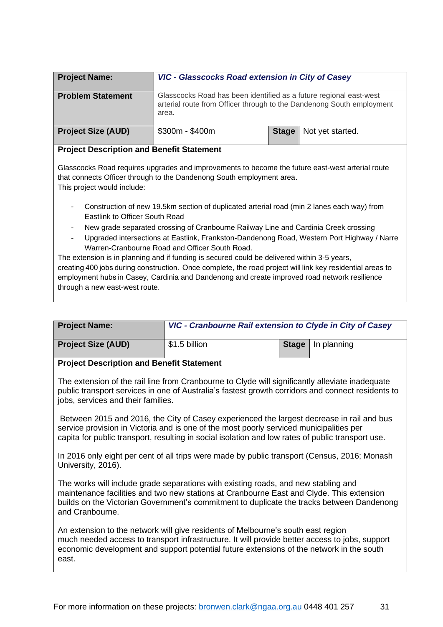<span id="page-30-0"></span>

| <b>Project Name:</b>                             | VIC - Glasscocks Road extension in City of Casey                                                                                                     |              |                  |  |
|--------------------------------------------------|------------------------------------------------------------------------------------------------------------------------------------------------------|--------------|------------------|--|
| <b>Problem Statement</b>                         | Glasscocks Road has been identified as a future regional east-west<br>arterial route from Officer through to the Dandenong South employment<br>area. |              |                  |  |
| <b>Project Size (AUD)</b>                        | $$300m - $400m$                                                                                                                                      | <b>Stage</b> | Not yet started. |  |
| <b>Project Description and Benefit Statement</b> |                                                                                                                                                      |              |                  |  |

Glasscocks Road requires upgrades and improvements to become the future east-west arterial route that connects Officer through to the Dandenong South employment area.

This project would include:

- Construction of new 19.5km section of duplicated arterial road (min 2 lanes each way) from Eastlink to Officer South Road
- New grade separated crossing of Cranbourne Railway Line and Cardinia Creek crossing
- Upgraded intersections at Eastlink, Frankston-Dandenong Road, Western Port Highway / Narre Warren-Cranbourne Road and Officer South Road.

The extension is in planning and if funding is secured could be delivered within 3-5 years, creating 400 jobs during construction.  Once complete, the road project will link key residential areas to employment hubs in Casey, Cardinia and Dandenong and create improved road network resilience through a new east-west route.

<span id="page-30-1"></span>

| <b>Project Name:</b>      | VIC - Cranbourne Rail extension to Clyde in City of Casey |                     |
|---------------------------|-----------------------------------------------------------|---------------------|
| <b>Project Size (AUD)</b> | \$1.5 billion                                             | Stage   In planning |

### **Project Description and Benefit Statement**

The extension of the rail line from Cranbourne to Clyde will significantly alleviate inadequate public transport services in one of Australia's fastest growth corridors and connect residents to jobs, services and their families.

Between 2015 and 2016, the City of Casey experienced the largest decrease in rail and bus service provision in Victoria and is one of the most poorly serviced municipalities per capita for public transport, resulting in social isolation and low rates of public transport use.

In 2016 only eight per cent of all trips were made by public transport (Census, 2016; Monash University, 2016).

The works will include grade separations with existing roads, and new stabling and maintenance facilities and two new stations at Cranbourne East and Clyde. This extension builds on the Victorian Government's commitment to duplicate the tracks between Dandenong and Cranbourne.

An extension to the network will give residents of Melbourne's south east region much needed access to transport infrastructure. It will provide better access to jobs, support economic development and support potential future extensions of the network in the south east.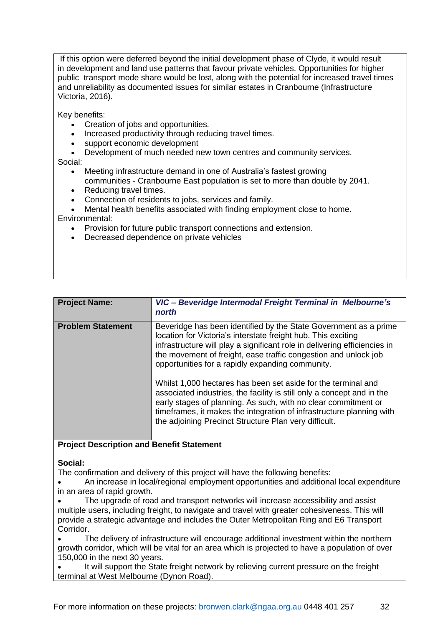If this option were deferred beyond the initial development phase of Clyde, it would result in development and land use patterns that favour private vehicles. Opportunities for higher public transport mode share would be lost, along with the potential for increased travel times and unreliability as documented issues for similar estates in Cranbourne (Infrastructure Victoria, 2016).

Key benefits:

- Creation of jobs and opportunities.
- Increased productivity through reducing travel times.
- support economic development
- Development of much needed new town centres and community services.

Social:

- Meeting infrastructure demand in one of Australia's fastest growing
- communities Cranbourne East population is set to more than double by 2041.
- Reducing travel times.
- Connection of residents to jobs, services and family.
- Mental health benefits associated with finding employment close to home.

Environmental:

- Provision for future public transport connections and extension.
- Decreased dependence on private vehicles

<span id="page-31-0"></span>

| <b>Problem Statement</b><br>Beveridge has been identified by the State Government as a prime<br>location for Victoria's interstate freight hub. This exciting                                                                                                                                                                                                                                                                                                     | <b>Project Name:</b> | VIC - Beveridge Intermodal Freight Terminal in Melbourne's<br>north       |
|-------------------------------------------------------------------------------------------------------------------------------------------------------------------------------------------------------------------------------------------------------------------------------------------------------------------------------------------------------------------------------------------------------------------------------------------------------------------|----------------------|---------------------------------------------------------------------------|
| the movement of freight, ease traffic congestion and unlock job<br>opportunities for a rapidly expanding community.<br>Whilst 1,000 hectares has been set aside for the terminal and<br>associated industries, the facility is still only a concept and in the<br>early stages of planning. As such, with no clear commitment or<br>timeframes, it makes the integration of infrastructure planning with<br>the adjoining Precinct Structure Plan very difficult. |                      | infrastructure will play a significant role in delivering efficiencies in |

### **Project Description and Benefit Statement**

### **Social:**

The confirmation and delivery of this project will have the following benefits:

• An increase in local/regional employment opportunities and additional local expenditure in an area of rapid growth.

• The upgrade of road and transport networks will increase accessibility and assist multiple users, including freight, to navigate and travel with greater cohesiveness. This will provide a strategic advantage and includes the Outer Metropolitan Ring and E6 Transport Corridor.

• The delivery of infrastructure will encourage additional investment within the northern growth corridor, which will be vital for an area which is projected to have a population of over 150,000 in the next 30 years.

It will support the State freight network by relieving current pressure on the freight terminal at West Melbourne (Dynon Road).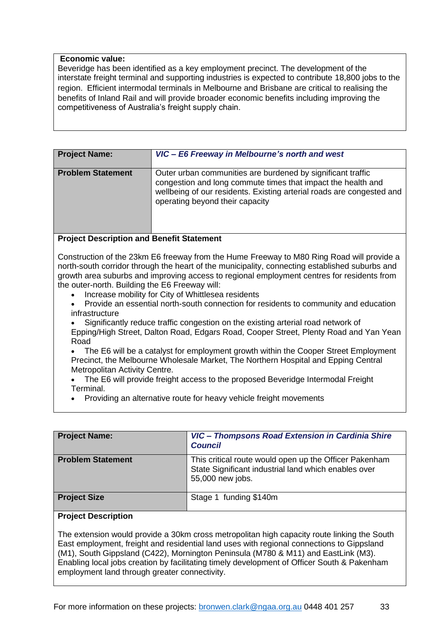#### **Economic value:**

Beveridge has been identified as a key employment precinct. The development of the interstate freight terminal and supporting industries is expected to contribute 18,800 jobs to the region. Efficient intermodal terminals in Melbourne and Brisbane are critical to realising the benefits of Inland Rail and will provide broader economic benefits including improving the competitiveness of Australia's freight supply chain.

<span id="page-32-0"></span>

| <b>Project Name:</b>     | VIC - E6 Freeway in Melbourne's north and west                                                                                                                                                                                          |
|--------------------------|-----------------------------------------------------------------------------------------------------------------------------------------------------------------------------------------------------------------------------------------|
| <b>Problem Statement</b> | Outer urban communities are burdened by significant traffic<br>congestion and long commute times that impact the health and<br>wellbeing of our residents. Existing arterial roads are congested and<br>operating beyond their capacity |

### **Project Description and Benefit Statement**

Construction of the 23km E6 freeway from the Hume Freeway to M80 Ring Road will provide a north-south corridor through the heart of the municipality, connecting established suburbs and growth area suburbs and improving access to regional employment centres for residents from the outer-north. Building the E6 Freeway will:

- Increase mobility for City of Whittlesea residents
- Provide an essential north-south connection for residents to community and education infrastructure
- Significantly reduce traffic congestion on the existing arterial road network of Epping/High Street, Dalton Road, Edgars Road, Cooper Street, Plenty Road and Yan Yean Road
- The E6 will be a catalyst for employment growth within the Cooper Street Employment Precinct, the Melbourne Wholesale Market, The Northern Hospital and Epping Central Metropolitan Activity Centre.
- The E6 will provide freight access to the proposed Beveridge Intermodal Freight Terminal.
- <span id="page-32-1"></span>• Providing an alternative route for heavy vehicle freight movements

| <b>Project Name:</b>     | VIC - Thompsons Road Extension in Cardinia Shire<br><b>Council</b>                                                                 |
|--------------------------|------------------------------------------------------------------------------------------------------------------------------------|
| <b>Problem Statement</b> | This critical route would open up the Officer Pakenham<br>State Significant industrial land which enables over<br>55,000 new jobs. |
| <b>Project Size</b>      | Stage 1 funding \$140m                                                                                                             |

#### **Project Description**

The extension would provide a 30km cross metropolitan high capacity route linking the South East employment, freight and residential land uses with regional connections to Gippsland (M1), South Gippsland (C422), Mornington Peninsula (M780 & M11) and EastLink (M3). Enabling local jobs creation by facilitating timely development of Officer South & Pakenham employment land through greater connectivity.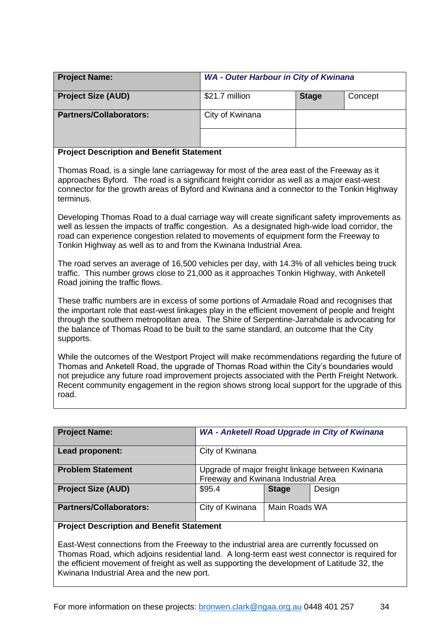<span id="page-33-0"></span>

| <b>Project Name:</b>                                                                                                                                                                                                                                                                                                                                         | <b>WA - Outer Harbour in City of Kwinana</b> |              |         |  |
|--------------------------------------------------------------------------------------------------------------------------------------------------------------------------------------------------------------------------------------------------------------------------------------------------------------------------------------------------------------|----------------------------------------------|--------------|---------|--|
| <b>Project Size (AUD)</b>                                                                                                                                                                                                                                                                                                                                    | \$21.7 million                               | <b>Stage</b> | Concept |  |
| <b>Partners/Collaborators:</b>                                                                                                                                                                                                                                                                                                                               | City of Kwinana                              |              |         |  |
|                                                                                                                                                                                                                                                                                                                                                              |                                              |              |         |  |
| <b>Project Description and Benefit Statement</b>                                                                                                                                                                                                                                                                                                             |                                              |              |         |  |
| Thomas Road, is a single lane carriageway for most of the area east of the Freeway as it<br>approaches Byford. The road is a significant freight corridor as well as a major east-west<br>connector for the growth areas of Byford and Kwinana and a connector to the Tonkin Highway<br>terminus.                                                            |                                              |              |         |  |
| Developing Thomas Road to a dual carriage way will create significant safety improvements as<br>well as lessen the impacts of traffic congestion. As a designated high-wide load corridor, the<br>road can experience congestion related to movements of equipment form the Freeway to<br>Tonkin Highway as well as to and from the Kwinana Industrial Area. |                                              |              |         |  |
| The road serves an average of 16,500 vehicles per day, with 14.3% of all vehicles being truck<br>traffic. This number grows close to 21,000 as it approaches Tonkin Highway, with Anketell<br>Road joining the traffic flows.                                                                                                                                |                                              |              |         |  |
| These traffic numbers are in excess of some portions of Armadale Road and recognises that<br>the important role that east-west linkages play in the efficient movement of people and freight                                                                                                                                                                 |                                              |              |         |  |

through the southern metropolitan area. The Shire of Serpentine-Jarrahdale is advocating for the balance of Thomas Road to be built to the same standard, an outcome that the City supports.

While the outcomes of the Westport Project will make recommendations regarding the future of Thomas and Anketell Road, the upgrade of Thomas Road within the City's boundaries would not prejudice any future road improvement projects associated with the Perth Freight Network. Recent community engagement in the region shows strong local support for the upgrade of this road.

<span id="page-33-1"></span>

| <b>Project Name:</b>           | WA - Anketell Road Upgrade in City of Kwinana                                           |               |  |  |
|--------------------------------|-----------------------------------------------------------------------------------------|---------------|--|--|
| Lead proponent:                | City of Kwinana                                                                         |               |  |  |
| <b>Problem Statement</b>       | Upgrade of major freight linkage between Kwinana<br>Freeway and Kwinana Industrial Area |               |  |  |
| <b>Project Size (AUD)</b>      | \$95.4<br>Design<br><b>Stage</b>                                                        |               |  |  |
| <b>Partners/Collaborators:</b> | City of Kwinana                                                                         | Main Roads WA |  |  |

# **Project Description and Benefit Statement**

East-West connections from the Freeway to the industrial area are currently focussed on Thomas Road, which adjoins residential land. A long-term east west connector is required for the efficient movement of freight as well as supporting the development of Latitude 32, the Kwinana Industrial Area and the new port.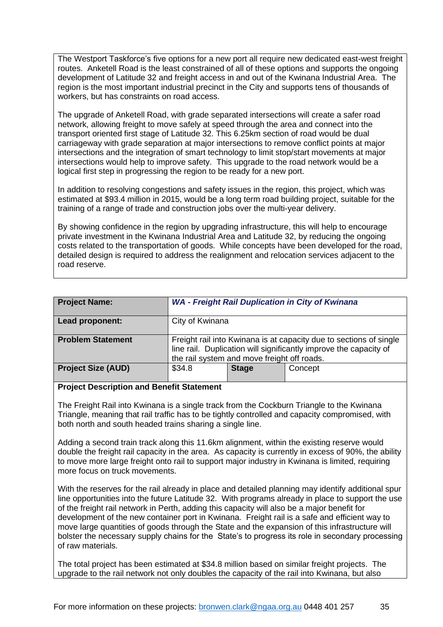The Westport Taskforce's five options for a new port all require new dedicated east-west freight routes. Anketell Road is the least constrained of all of these options and supports the ongoing development of Latitude 32 and freight access in and out of the Kwinana Industrial Area. The region is the most important industrial precinct in the City and supports tens of thousands of workers, but has constraints on road access.

The upgrade of Anketell Road, with grade separated intersections will create a safer road network, allowing freight to move safely at speed through the area and connect into the transport oriented first stage of Latitude 32. This 6.25km section of road would be dual carriageway with grade separation at major intersections to remove conflict points at major intersections and the integration of smart technology to limit stop/start movements at major intersections would help to improve safety. This upgrade to the road network would be a logical first step in progressing the region to be ready for a new port.

In addition to resolving congestions and safety issues in the region, this project, which was estimated at \$93.4 million in 2015, would be a long term road building project, suitable for the training of a range of trade and construction jobs over the multi-year delivery.

By showing confidence in the region by upgrading infrastructure, this will help to encourage private investment in the Kwinana Industrial Area and Latitude 32, by reducing the ongoing costs related to the transportation of goods. While concepts have been developed for the road, detailed design is required to address the realignment and relocation services adjacent to the road reserve.

<span id="page-34-0"></span>

| <b>Project Name:</b>      | <b>WA - Freight Rail Duplication in City of Kwinana</b>                                                                                                                                |              |         |
|---------------------------|----------------------------------------------------------------------------------------------------------------------------------------------------------------------------------------|--------------|---------|
| Lead proponent:           | City of Kwinana                                                                                                                                                                        |              |         |
| <b>Problem Statement</b>  | Freight rail into Kwinana is at capacity due to sections of single<br>line rail. Duplication will significantly improve the capacity of<br>the rail system and move freight off roads. |              |         |
| <b>Project Size (AUD)</b> | \$34.8                                                                                                                                                                                 | <b>Stage</b> | Concept |

## **Project Description and Benefit Statement**

The Freight Rail into Kwinana is a single track from the Cockburn Triangle to the Kwinana Triangle, meaning that rail traffic has to be tightly controlled and capacity compromised, with both north and south headed trains sharing a single line.

Adding a second train track along this 11.6km alignment, within the existing reserve would double the freight rail capacity in the area. As capacity is currently in excess of 90%, the ability to move more large freight onto rail to support major industry in Kwinana is limited, requiring more focus on truck movements.

With the reserves for the rail already in place and detailed planning may identify additional spur line opportunities into the future Latitude 32. With programs already in place to support the use of the freight rail network in Perth, adding this capacity will also be a major benefit for development of the new container port in Kwinana. Freight rail is a safe and efficient way to move large quantities of goods through the State and the expansion of this infrastructure will bolster the necessary supply chains for the State's to progress its role in secondary processing of raw materials.

The total project has been estimated at \$34.8 million based on similar freight projects. The upgrade to the rail network not only doubles the capacity of the rail into Kwinana, but also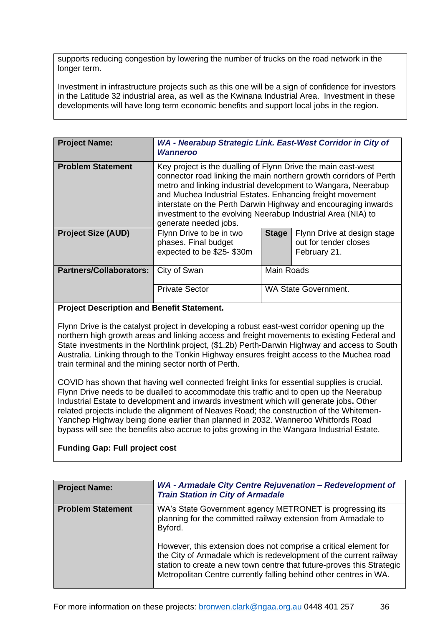supports reducing congestion by lowering the number of trucks on the road network in the longer term.

Investment in infrastructure projects such as this one will be a sign of confidence for investors in the Latitude 32 industrial area, as well as the Kwinana Industrial Area. Investment in these developments will have long term economic benefits and support local jobs in the region.

<span id="page-35-0"></span>

| <b>Project Name:</b>           | WA - Neerabup Strategic Link. East-West Corridor in City of<br><b>Wanneroo</b>                                                                                                                                                                                                                                                                                                                                               |                   |                                                                      |
|--------------------------------|------------------------------------------------------------------------------------------------------------------------------------------------------------------------------------------------------------------------------------------------------------------------------------------------------------------------------------------------------------------------------------------------------------------------------|-------------------|----------------------------------------------------------------------|
| <b>Problem Statement</b>       | Key project is the dualling of Flynn Drive the main east-west<br>connector road linking the main northern growth corridors of Perth<br>metro and linking industrial development to Wangara, Neerabup<br>and Muchea Industrial Estates. Enhancing freight movement<br>interstate on the Perth Darwin Highway and encouraging inwards<br>investment to the evolving Neerabup Industrial Area (NIA) to<br>generate needed jobs. |                   |                                                                      |
| <b>Project Size (AUD)</b>      | Flynn Drive to be in two<br>phases. Final budget<br>expected to be \$25-\$30m                                                                                                                                                                                                                                                                                                                                                | <b>Stage</b>      | Flynn Drive at design stage<br>out for tender closes<br>February 21. |
| <b>Partners/Collaborators:</b> | City of Swan                                                                                                                                                                                                                                                                                                                                                                                                                 | <b>Main Roads</b> |                                                                      |
|                                | <b>Private Sector</b>                                                                                                                                                                                                                                                                                                                                                                                                        |                   | <b>WA State Government.</b>                                          |

## **Project Description and Benefit Statement.**

Flynn Drive is the catalyst project in developing a robust east-west corridor opening up the northern high growth areas and linking access and freight movements to existing Federal and State investments in the Northlink project, (\$1.2b) Perth-Darwin Highway and access to South Australia. Linking through to the Tonkin Highway ensures freight access to the Muchea road train terminal and the mining sector north of Perth.

COVID has shown that having well connected freight links for essential supplies is crucial. Flynn Drive needs to be dualled to accommodate this traffic and to open up the Neerabup Industrial Estate to development and inwards investment which will generate jobs**.** Other related projects include the alignment of Neaves Road; the construction of the Whitemen-Yanchep Highway being done earlier than planned in 2032. Wanneroo Whitfords Road bypass will see the benefits also accrue to jobs growing in the Wangara Industrial Estate.

# **Funding Gap: Full project cost**

<span id="page-35-1"></span>

| <b>Project Name:</b>     | WA - Armadale City Centre Rejuvenation - Redevelopment of<br><b>Train Station in City of Armadale</b>                                                                                                                                                                                |
|--------------------------|--------------------------------------------------------------------------------------------------------------------------------------------------------------------------------------------------------------------------------------------------------------------------------------|
| <b>Problem Statement</b> | WA's State Government agency METRONET is progressing its<br>planning for the committed railway extension from Armadale to<br>Byford.                                                                                                                                                 |
|                          | However, this extension does not comprise a critical element for<br>the City of Armadale which is redevelopment of the current railway<br>station to create a new town centre that future-proves this Strategic<br>Metropolitan Centre currently falling behind other centres in WA. |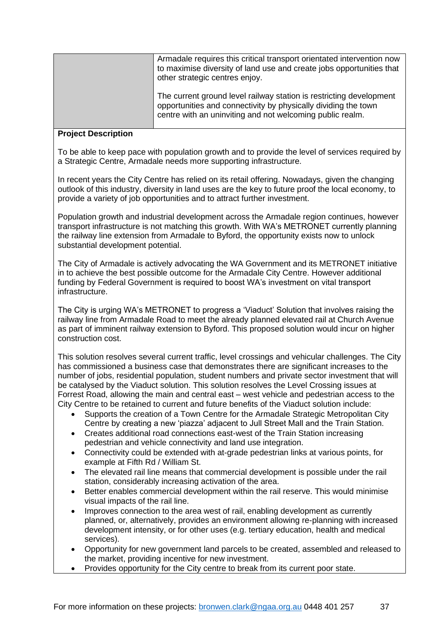| Armadale requires this critical transport orientated intervention now<br>to maximise diversity of land use and create jobs opportunities that<br>other strategic centres enjoy.                    |
|----------------------------------------------------------------------------------------------------------------------------------------------------------------------------------------------------|
| The current ground level railway station is restricting development<br>opportunities and connectivity by physically dividing the town<br>centre with an uninviting and not welcoming public realm. |

#### **Project Description**

To be able to keep pace with population growth and to provide the level of services required by a Strategic Centre, Armadale needs more supporting infrastructure.

In recent years the City Centre has relied on its retail offering. Nowadays, given the changing outlook of this industry, diversity in land uses are the key to future proof the local economy, to provide a variety of job opportunities and to attract further investment.

Population growth and industrial development across the Armadale region continues, however transport infrastructure is not matching this growth. With WA's METRONET currently planning the railway line extension from Armadale to Byford, the opportunity exists now to unlock substantial development potential.

The City of Armadale is actively advocating the WA Government and its METRONET initiative in to achieve the best possible outcome for the Armadale City Centre. However additional funding by Federal Government is required to boost WA's investment on vital transport infrastructure.

The City is urging WA's METRONET to progress a 'Viaduct' Solution that involves raising the railway line from Armadale Road to meet the already planned elevated rail at Church Avenue as part of imminent railway extension to Byford. This proposed solution would incur on higher construction cost.

This solution resolves several current traffic, level crossings and vehicular challenges. The City has commissioned a business case that demonstrates there are significant increases to the number of jobs, residential population, student numbers and private sector investment that will be catalysed by the Viaduct solution. This solution resolves the Level Crossing issues at Forrest Road, allowing the main and central east – west vehicle and pedestrian access to the City Centre to be retained to current and future benefits of the Viaduct solution include:

- Supports the creation of a Town Centre for the Armadale Strategic Metropolitan City Centre by creating a new 'piazza' adjacent to Jull Street Mall and the Train Station.
- Creates additional road connections east-west of the Train Station increasing pedestrian and vehicle connectivity and land use integration.
- Connectivity could be extended with at-grade pedestrian links at various points, for example at Fifth Rd / William St.
- The elevated rail line means that commercial development is possible under the rail station, considerably increasing activation of the area.
- Better enables commercial development within the rail reserve. This would minimise visual impacts of the rail line.
- Improves connection to the area west of rail, enabling development as currently planned, or, alternatively, provides an environment allowing re-planning with increased development intensity, or for other uses (e.g. tertiary education, health and medical services).
- Opportunity for new government land parcels to be created, assembled and released to the market, providing incentive for new investment.
- Provides opportunity for the City centre to break from its current poor state.